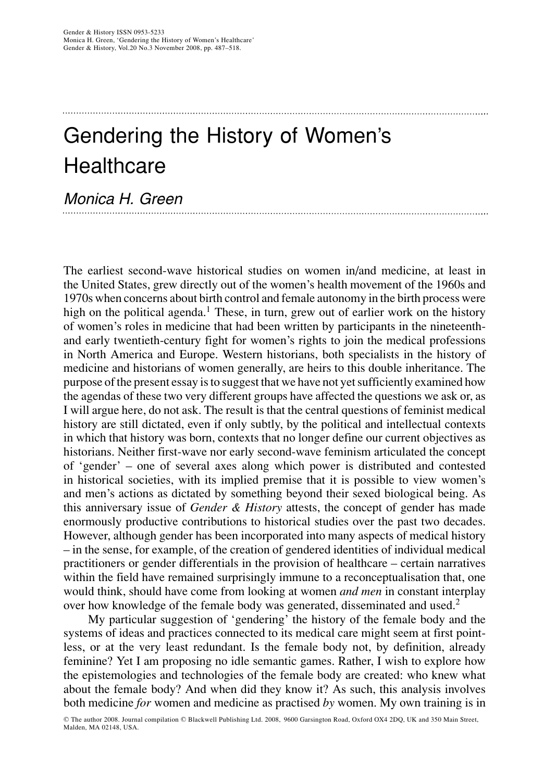# Gendering the History of Women's **Healthcare**

# *Monica H. Green*

The earliest second-wave historical studies on women in/and medicine, at least in the United States, grew directly out of the women's health movement of the 1960s and 1970s when concerns about birth control and female autonomy in the birth process were high on the political agenda.<sup>1</sup> These, in turn, grew out of earlier work on the history of women's roles in medicine that had been written by participants in the nineteenthand early twentieth-century fight for women's rights to join the medical professions in North America and Europe. Western historians, both specialists in the history of medicine and historians of women generally, are heirs to this double inheritance. The purpose of the present essay is to suggest that we have not yet sufficiently examined how the agendas of these two very different groups have affected the questions we ask or, as I will argue here, do not ask. The result is that the central questions of feminist medical history are still dictated, even if only subtly, by the political and intellectual contexts in which that history was born, contexts that no longer define our current objectives as historians. Neither first-wave nor early second-wave feminism articulated the concept of 'gender' – one of several axes along which power is distributed and contested in historical societies, with its implied premise that it is possible to view women's and men's actions as dictated by something beyond their sexed biological being. As this anniversary issue of *Gender & History* attests, the concept of gender has made enormously productive contributions to historical studies over the past two decades. However, although gender has been incorporated into many aspects of medical history – in the sense, for example, of the creation of gendered identities of individual medical practitioners or gender differentials in the provision of healthcare – certain narratives within the field have remained surprisingly immune to a reconceptualisation that, one would think, should have come from looking at women *and men* in constant interplay over how knowledge of the female body was generated, disseminated and used.<sup>2</sup>

My particular suggestion of 'gendering' the history of the female body and the systems of ideas and practices connected to its medical care might seem at first pointless, or at the very least redundant. Is the female body not, by definition, already feminine? Yet I am proposing no idle semantic games. Rather, I wish to explore how the epistemologies and technologies of the female body are created: who knew what about the female body? And when did they know it? As such, this analysis involves both medicine *for* women and medicine as practised *by* women. My own training is in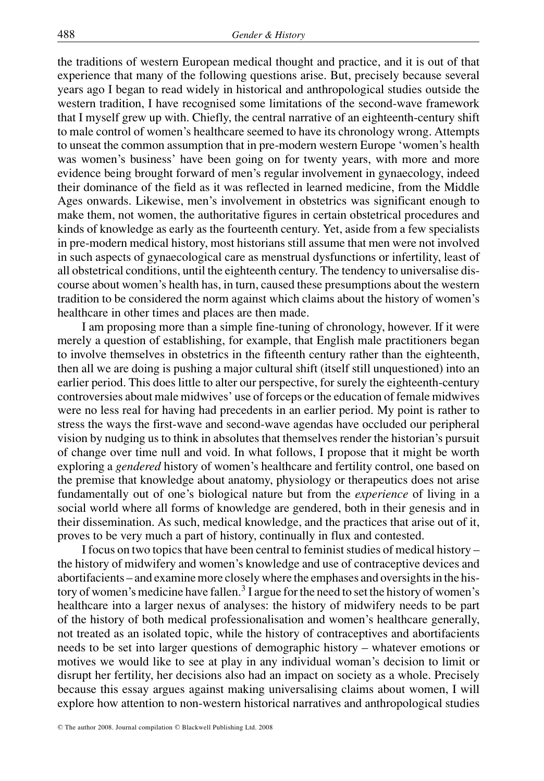the traditions of western European medical thought and practice, and it is out of that experience that many of the following questions arise. But, precisely because several years ago I began to read widely in historical and anthropological studies outside the western tradition, I have recognised some limitations of the second-wave framework that I myself grew up with. Chiefly, the central narrative of an eighteenth-century shift to male control of women's healthcare seemed to have its chronology wrong. Attempts to unseat the common assumption that in pre-modern western Europe 'women's health was women's business' have been going on for twenty years, with more and more evidence being brought forward of men's regular involvement in gynaecology, indeed their dominance of the field as it was reflected in learned medicine, from the Middle Ages onwards. Likewise, men's involvement in obstetrics was significant enough to make them, not women, the authoritative figures in certain obstetrical procedures and kinds of knowledge as early as the fourteenth century. Yet, aside from a few specialists in pre-modern medical history, most historians still assume that men were not involved in such aspects of gynaecological care as menstrual dysfunctions or infertility, least of all obstetrical conditions, until the eighteenth century. The tendency to universalise discourse about women's health has, in turn, caused these presumptions about the western tradition to be considered the norm against which claims about the history of women's healthcare in other times and places are then made.

I am proposing more than a simple fine-tuning of chronology, however. If it were merely a question of establishing, for example, that English male practitioners began to involve themselves in obstetrics in the fifteenth century rather than the eighteenth, then all we are doing is pushing a major cultural shift (itself still unquestioned) into an earlier period. This does little to alter our perspective, for surely the eighteenth-century controversies about male midwives' use of forceps or the education of female midwives were no less real for having had precedents in an earlier period. My point is rather to stress the ways the first-wave and second-wave agendas have occluded our peripheral vision by nudging us to think in absolutes that themselves render the historian's pursuit of change over time null and void. In what follows, I propose that it might be worth exploring a *gendered* history of women's healthcare and fertility control, one based on the premise that knowledge about anatomy, physiology or therapeutics does not arise fundamentally out of one's biological nature but from the *experience* of living in a social world where all forms of knowledge are gendered, both in their genesis and in their dissemination. As such, medical knowledge, and the practices that arise out of it, proves to be very much a part of history, continually in flux and contested.

I focus on two topics that have been central to feminist studies of medical history – the history of midwifery and women's knowledge and use of contraceptive devices and abortifacients – and examine more closely where the emphases and oversights in the history of women's medicine have fallen. $3$  I argue for the need to set the history of women's healthcare into a larger nexus of analyses: the history of midwifery needs to be part of the history of both medical professionalisation and women's healthcare generally, not treated as an isolated topic, while the history of contraceptives and abortifacients needs to be set into larger questions of demographic history – whatever emotions or motives we would like to see at play in any individual woman's decision to limit or disrupt her fertility, her decisions also had an impact on society as a whole. Precisely because this essay argues against making universalising claims about women, I will explore how attention to non-western historical narratives and anthropological studies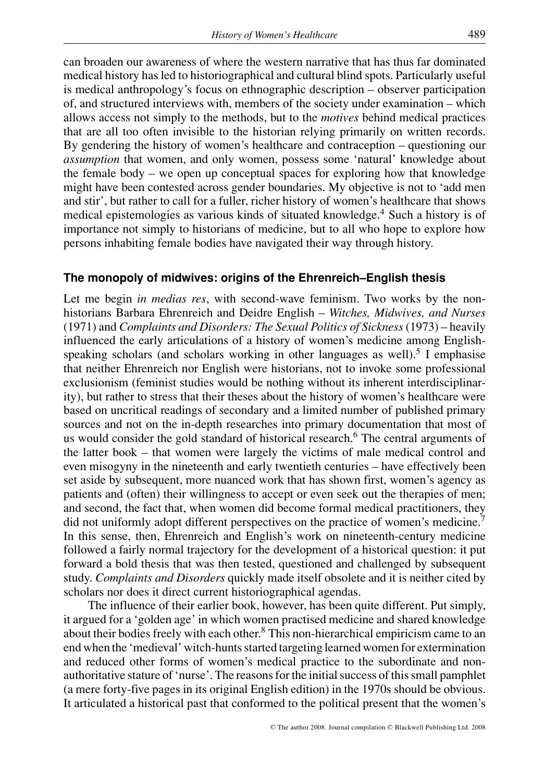can broaden our awareness of where the western narrative that has thus far dominated medical history has led to historiographical and cultural blind spots. Particularly useful is medical anthropology's focus on ethnographic description – observer participation of, and structured interviews with, members of the society under examination – which allows access not simply to the methods, but to the *motives* behind medical practices that are all too often invisible to the historian relying primarily on written records. By gendering the history of women's healthcare and contraception – questioning our *assumption* that women, and only women, possess some 'natural' knowledge about the female body – we open up conceptual spaces for exploring how that knowledge might have been contested across gender boundaries. My objective is not to 'add men and stir', but rather to call for a fuller, richer history of women's healthcare that shows medical epistemologies as various kinds of situated knowledge.<sup>4</sup> Such a history is of importance not simply to historians of medicine, but to all who hope to explore how persons inhabiting female bodies have navigated their way through history.

### **The monopoly of midwives: origins of the Ehrenreich–English thesis**

Let me begin *in medias res*, with second-wave feminism. Two works by the nonhistorians Barbara Ehrenreich and Deidre English – *Witches, Midwives, and Nurses* (1971) and *Complaints and Disorders: The Sexual Politics of Sickness* (1973) – heavily influenced the early articulations of a history of women's medicine among Englishspeaking scholars (and scholars working in other languages as well).<sup>5</sup> I emphasise that neither Ehrenreich nor English were historians, not to invoke some professional exclusionism (feminist studies would be nothing without its inherent interdisciplinarity), but rather to stress that their theses about the history of women's healthcare were based on uncritical readings of secondary and a limited number of published primary sources and not on the in-depth researches into primary documentation that most of us would consider the gold standard of historical research.<sup>6</sup> The central arguments of the latter book – that women were largely the victims of male medical control and even misogyny in the nineteenth and early twentieth centuries – have effectively been set aside by subsequent, more nuanced work that has shown first, women's agency as patients and (often) their willingness to accept or even seek out the therapies of men; and second, the fact that, when women did become formal medical practitioners, they did not uniformly adopt different perspectives on the practice of women's medicine.<sup>7</sup> In this sense, then, Ehrenreich and English's work on nineteenth-century medicine followed a fairly normal trajectory for the development of a historical question: it put forward a bold thesis that was then tested, questioned and challenged by subsequent study. *Complaints and Disorders* quickly made itself obsolete and it is neither cited by scholars nor does it direct current historiographical agendas.

The influence of their earlier book, however, has been quite different. Put simply, it argued for a 'golden age' in which women practised medicine and shared knowledge about their bodies freely with each other.<sup>8</sup> This non-hierarchical empiricism came to an end when the 'medieval' witch-hunts started targeting learned women for extermination and reduced other forms of women's medical practice to the subordinate and nonauthoritative stature of 'nurse'. The reasons for the initial success of this small pamphlet (a mere forty-five pages in its original English edition) in the 1970s should be obvious. It articulated a historical past that conformed to the political present that the women's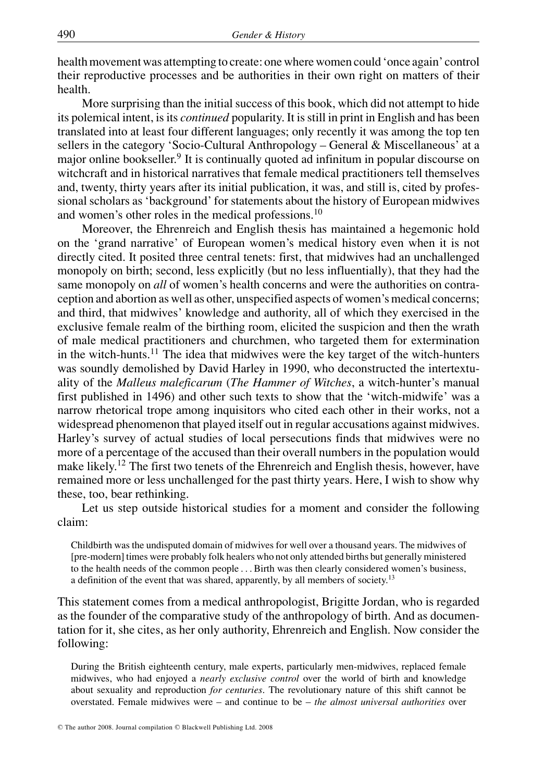health movement was attempting to create: one where women could 'once again' control their reproductive processes and be authorities in their own right on matters of their health.

More surprising than the initial success of this book, which did not attempt to hide its polemical intent, is its *continued* popularity. It is still in print in English and has been translated into at least four different languages; only recently it was among the top ten sellers in the category 'Socio-Cultural Anthropology – General & Miscellaneous' at a major online bookseller.<sup>9</sup> It is continually quoted ad infinitum in popular discourse on witchcraft and in historical narratives that female medical practitioners tell themselves and, twenty, thirty years after its initial publication, it was, and still is, cited by professional scholars as 'background' for statements about the history of European midwives and women's other roles in the medical professions.10

Moreover, the Ehrenreich and English thesis has maintained a hegemonic hold on the 'grand narrative' of European women's medical history even when it is not directly cited. It posited three central tenets: first, that midwives had an unchallenged monopoly on birth; second, less explicitly (but no less influentially), that they had the same monopoly on *all* of women's health concerns and were the authorities on contraception and abortion as well as other, unspecified aspects of women's medical concerns; and third, that midwives' knowledge and authority, all of which they exercised in the exclusive female realm of the birthing room, elicited the suspicion and then the wrath of male medical practitioners and churchmen, who targeted them for extermination in the witch-hunts.<sup>11</sup> The idea that midwives were the key target of the witch-hunters was soundly demolished by David Harley in 1990, who deconstructed the intertextuality of the *Malleus maleficarum* (*The Hammer of Witches*, a witch-hunter's manual first published in 1496) and other such texts to show that the 'witch-midwife' was a narrow rhetorical trope among inquisitors who cited each other in their works, not a widespread phenomenon that played itself out in regular accusations against midwives. Harley's survey of actual studies of local persecutions finds that midwives were no more of a percentage of the accused than their overall numbers in the population would make likely.<sup>12</sup> The first two tenets of the Ehrenreich and English thesis, however, have remained more or less unchallenged for the past thirty years. Here, I wish to show why these, too, bear rethinking.

Let us step outside historical studies for a moment and consider the following claim:

Childbirth was the undisputed domain of midwives for well over a thousand years. The midwives of [pre-modern] times were probably folk healers who not only attended births but generally ministered to the health needs of the common people ...Birth was then clearly considered women's business, a definition of the event that was shared, apparently, by all members of society.<sup>13</sup>

This statement comes from a medical anthropologist, Brigitte Jordan, who is regarded as the founder of the comparative study of the anthropology of birth. And as documentation for it, she cites, as her only authority, Ehrenreich and English. Now consider the following:

During the British eighteenth century, male experts, particularly men-midwives, replaced female midwives, who had enjoyed a *nearly exclusive control* over the world of birth and knowledge about sexuality and reproduction *for centuries*. The revolutionary nature of this shift cannot be overstated. Female midwives were – and continue to be – *the almost universal authorities* over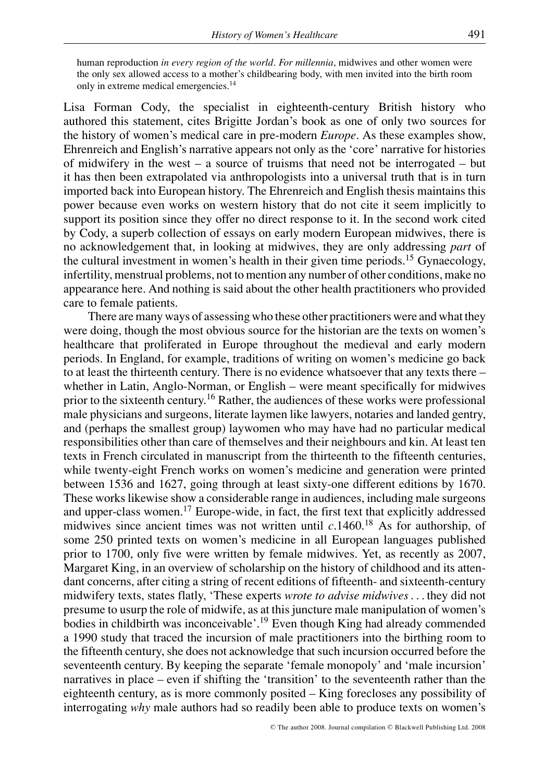human reproduction *in every region of the world*. *For millennia*, midwives and other women were the only sex allowed access to a mother's childbearing body, with men invited into the birth room only in extreme medical emergencies.<sup>14</sup>

Lisa Forman Cody, the specialist in eighteenth-century British history who authored this statement, cites Brigitte Jordan's book as one of only two sources for the history of women's medical care in pre-modern *Europe*. As these examples show, Ehrenreich and English's narrative appears not only as the 'core' narrative for histories of midwifery in the west – a source of truisms that need not be interrogated – but it has then been extrapolated via anthropologists into a universal truth that is in turn imported back into European history. The Ehrenreich and English thesis maintains this power because even works on western history that do not cite it seem implicitly to support its position since they offer no direct response to it. In the second work cited by Cody, a superb collection of essays on early modern European midwives, there is no acknowledgement that, in looking at midwives, they are only addressing *part* of the cultural investment in women's health in their given time periods.15 Gynaecology, infertility, menstrual problems, not to mention any number of other conditions, make no appearance here. And nothing is said about the other health practitioners who provided care to female patients.

There are many ways of assessing who these other practitioners were and what they were doing, though the most obvious source for the historian are the texts on women's healthcare that proliferated in Europe throughout the medieval and early modern periods. In England, for example, traditions of writing on women's medicine go back to at least the thirteenth century. There is no evidence whatsoever that any texts there – whether in Latin, Anglo-Norman, or English – were meant specifically for midwives prior to the sixteenth century.16 Rather, the audiences of these works were professional male physicians and surgeons, literate laymen like lawyers, notaries and landed gentry, and (perhaps the smallest group) laywomen who may have had no particular medical responsibilities other than care of themselves and their neighbours and kin. At least ten texts in French circulated in manuscript from the thirteenth to the fifteenth centuries, while twenty-eight French works on women's medicine and generation were printed between 1536 and 1627, going through at least sixty-one different editions by 1670. These works likewise show a considerable range in audiences, including male surgeons and upper-class women.<sup>17</sup> Europe-wide, in fact, the first text that explicitly addressed midwives since ancient times was not written until  $c.1460$ <sup>18</sup> As for authorship, of some 250 printed texts on women's medicine in all European languages published prior to 1700, only five were written by female midwives. Yet, as recently as 2007, Margaret King, in an overview of scholarship on the history of childhood and its attendant concerns, after citing a string of recent editions of fifteenth- and sixteenth-century midwifery texts, states flatly, 'These experts *wrote to advise midwives*... they did not presume to usurp the role of midwife, as at this juncture male manipulation of women's bodies in childbirth was inconceivable'.19 Even though King had already commended a 1990 study that traced the incursion of male practitioners into the birthing room to the fifteenth century, she does not acknowledge that such incursion occurred before the seventeenth century. By keeping the separate 'female monopoly' and 'male incursion' narratives in place – even if shifting the 'transition' to the seventeenth rather than the eighteenth century, as is more commonly posited – King forecloses any possibility of interrogating *why* male authors had so readily been able to produce texts on women's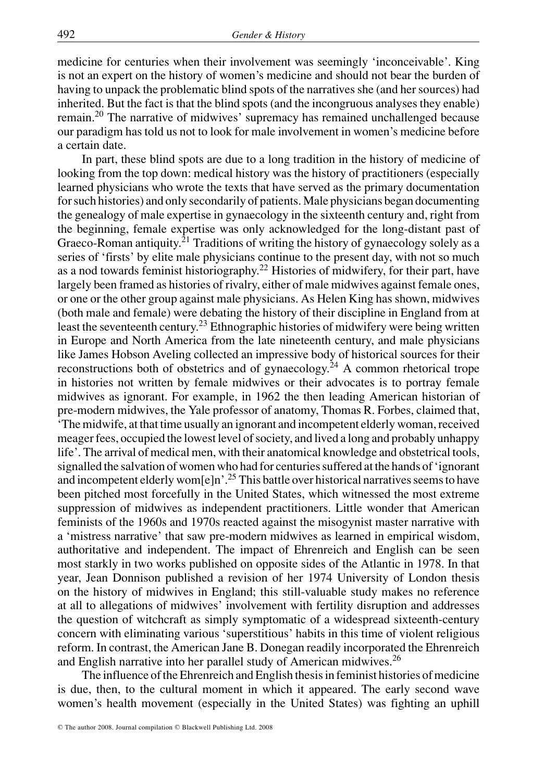medicine for centuries when their involvement was seemingly 'inconceivable'. King is not an expert on the history of women's medicine and should not bear the burden of having to unpack the problematic blind spots of the narratives she (and her sources) had inherited. But the fact is that the blind spots (and the incongruous analyses they enable) remain.20 The narrative of midwives' supremacy has remained unchallenged because our paradigm has told us not to look for male involvement in women's medicine before a certain date.

In part, these blind spots are due to a long tradition in the history of medicine of looking from the top down: medical history was the history of practitioners (especially learned physicians who wrote the texts that have served as the primary documentation for such histories) and only secondarily of patients. Male physicians began documenting the genealogy of male expertise in gynaecology in the sixteenth century and, right from the beginning, female expertise was only acknowledged for the long-distant past of Graeco-Roman antiquity.<sup>21</sup> Traditions of writing the history of gynaecology solely as a series of 'firsts' by elite male physicians continue to the present day, with not so much as a nod towards feminist historiography.<sup>22</sup> Histories of midwifery, for their part, have largely been framed as histories of rivalry, either of male midwives against female ones, or one or the other group against male physicians. As Helen King has shown, midwives (both male and female) were debating the history of their discipline in England from at least the seventeenth century.<sup>23</sup> Ethnographic histories of midwifery were being written in Europe and North America from the late nineteenth century, and male physicians like James Hobson Aveling collected an impressive body of historical sources for their reconstructions both of obstetrics and of gynaecology.<sup>24</sup> A common rhetorical trope in histories not written by female midwives or their advocates is to portray female midwives as ignorant. For example, in 1962 the then leading American historian of pre-modern midwives, the Yale professor of anatomy, Thomas R. Forbes, claimed that, 'The midwife, at that time usually an ignorant and incompetent elderly woman, received meager fees, occupied the lowest level of society, and lived a long and probably unhappy life'. The arrival of medical men, with their anatomical knowledge and obstetrical tools, signalled the salvation of women who had for centuries suffered at the hands of 'ignorant and incompetent elderly wom $[e]n^2$ .<sup>25</sup> This battle over historical narratives seems to have been pitched most forcefully in the United States, which witnessed the most extreme suppression of midwives as independent practitioners. Little wonder that American feminists of the 1960s and 1970s reacted against the misogynist master narrative with a 'mistress narrative' that saw pre-modern midwives as learned in empirical wisdom, authoritative and independent. The impact of Ehrenreich and English can be seen most starkly in two works published on opposite sides of the Atlantic in 1978. In that year, Jean Donnison published a revision of her 1974 University of London thesis on the history of midwives in England; this still-valuable study makes no reference at all to allegations of midwives' involvement with fertility disruption and addresses the question of witchcraft as simply symptomatic of a widespread sixteenth-century concern with eliminating various 'superstitious' habits in this time of violent religious reform. In contrast, the American Jane B. Donegan readily incorporated the Ehrenreich and English narrative into her parallel study of American midwives.<sup>26</sup>

The influence of the Ehrenreich and English thesis in feminist histories of medicine is due, then, to the cultural moment in which it appeared. The early second wave women's health movement (especially in the United States) was fighting an uphill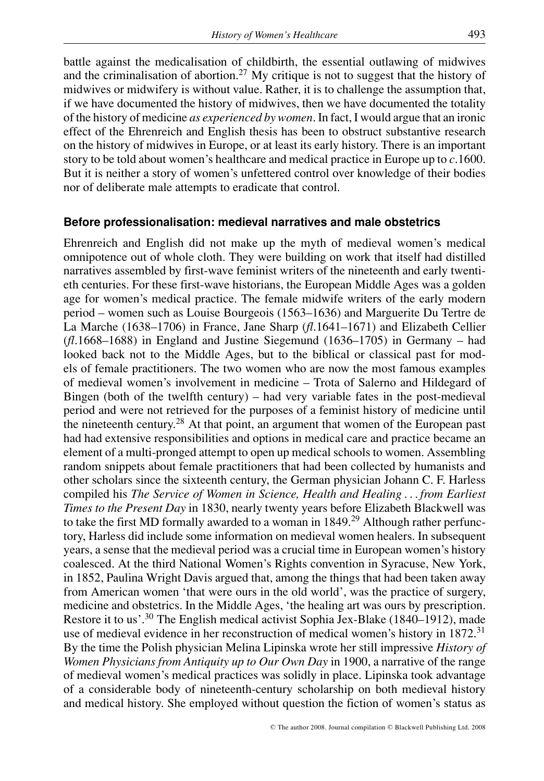battle against the medicalisation of childbirth, the essential outlawing of midwives and the criminalisation of abortion.<sup>27</sup> My critique is not to suggest that the history of midwives or midwifery is without value. Rather, it is to challenge the assumption that, if we have documented the history of midwives, then we have documented the totality of the history of medicine *as experienced by women*. In fact, I would argue that an ironic effect of the Ehrenreich and English thesis has been to obstruct substantive research on the history of midwives in Europe, or at least its early history. There is an important story to be told about women's healthcare and medical practice in Europe up to *c*.1600. But it is neither a story of women's unfettered control over knowledge of their bodies nor of deliberate male attempts to eradicate that control.

#### **Before professionalisation: medieval narratives and male obstetrics**

Ehrenreich and English did not make up the myth of medieval women's medical omnipotence out of whole cloth. They were building on work that itself had distilled narratives assembled by first-wave feminist writers of the nineteenth and early twentieth centuries. For these first-wave historians, the European Middle Ages was a golden age for women's medical practice. The female midwife writers of the early modern period – women such as Louise Bourgeois (1563–1636) and Marguerite Du Tertre de La Marche (1638–1706) in France, Jane Sharp (*fl*.1641–1671) and Elizabeth Cellier (*fl*.1668–1688) in England and Justine Siegemund (1636–1705) in Germany – had looked back not to the Middle Ages, but to the biblical or classical past for models of female practitioners. The two women who are now the most famous examples of medieval women's involvement in medicine – Trota of Salerno and Hildegard of Bingen (both of the twelfth century) – had very variable fates in the post-medieval period and were not retrieved for the purposes of a feminist history of medicine until the nineteenth century.<sup>28</sup> At that point, an argument that women of the European past had had extensive responsibilities and options in medical care and practice became an element of a multi-pronged attempt to open up medical schools to women. Assembling random snippets about female practitioners that had been collected by humanists and other scholars since the sixteenth century, the German physician Johann C. F. Harless compiled his *The Service of Women in Science, Health and Healing* ... *from Earliest Times to the Present Day* in 1830, nearly twenty years before Elizabeth Blackwell was to take the first MD formally awarded to a woman in  $1849$ <sup>29</sup> Although rather perfunctory, Harless did include some information on medieval women healers. In subsequent years, a sense that the medieval period was a crucial time in European women's history coalesced. At the third National Women's Rights convention in Syracuse, New York, in 1852, Paulina Wright Davis argued that, among the things that had been taken away from American women 'that were ours in the old world', was the practice of surgery, medicine and obstetrics. In the Middle Ages, 'the healing art was ours by prescription. Restore it to us'.<sup>30</sup> The English medical activist Sophia Jex-Blake (1840–1912), made use of medieval evidence in her reconstruction of medical women's history in 1872.<sup>31</sup> By the time the Polish physician Melina Lipinska wrote her still impressive *History of Women Physicians from Antiquity up to Our Own Day* in 1900, a narrative of the range of medieval women's medical practices was solidly in place. Lipinska took advantage of a considerable body of nineteenth-century scholarship on both medieval history and medical history. She employed without question the fiction of women's status as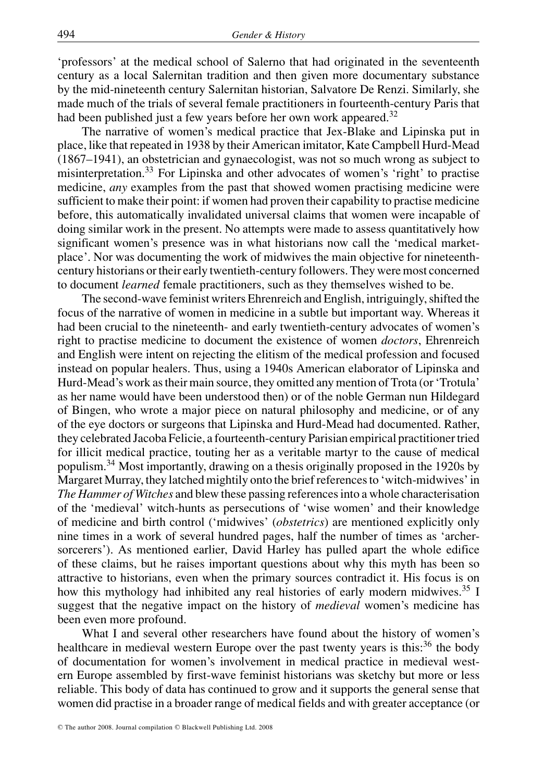'professors' at the medical school of Salerno that had originated in the seventeenth century as a local Salernitan tradition and then given more documentary substance by the mid-nineteenth century Salernitan historian, Salvatore De Renzi. Similarly, she made much of the trials of several female practitioners in fourteenth-century Paris that had been published just a few years before her own work appeared.<sup>32</sup>

The narrative of women's medical practice that Jex-Blake and Lipinska put in place, like that repeated in 1938 by their American imitator, Kate Campbell Hurd-Mead (1867–1941), an obstetrician and gynaecologist, was not so much wrong as subject to misinterpretation.33 For Lipinska and other advocates of women's 'right' to practise medicine, *any* examples from the past that showed women practising medicine were sufficient to make their point: if women had proven their capability to practise medicine before, this automatically invalidated universal claims that women were incapable of doing similar work in the present. No attempts were made to assess quantitatively how significant women's presence was in what historians now call the 'medical marketplace'. Nor was documenting the work of midwives the main objective for nineteenthcentury historians or their early twentieth-century followers. They were most concerned to document *learned* female practitioners, such as they themselves wished to be.

The second-wave feminist writers Ehrenreich and English, intriguingly, shifted the focus of the narrative of women in medicine in a subtle but important way. Whereas it had been crucial to the nineteenth- and early twentieth-century advocates of women's right to practise medicine to document the existence of women *doctors*, Ehrenreich and English were intent on rejecting the elitism of the medical profession and focused instead on popular healers. Thus, using a 1940s American elaborator of Lipinska and Hurd-Mead's work as their main source, they omitted any mention of Trota (or 'Trotula' as her name would have been understood then) or of the noble German nun Hildegard of Bingen, who wrote a major piece on natural philosophy and medicine, or of any of the eye doctors or surgeons that Lipinska and Hurd-Mead had documented. Rather, they celebrated Jacoba Felicie, a fourteenth-century Parisian empirical practitioner tried for illicit medical practice, touting her as a veritable martyr to the cause of medical populism.34 Most importantly, drawing on a thesis originally proposed in the 1920s by Margaret Murray, they latched mightily onto the brief references to 'witch-midwives' in *The Hammer of Witches* and blew these passing references into a whole characterisation of the 'medieval' witch-hunts as persecutions of 'wise women' and their knowledge of medicine and birth control ('midwives' (*obstetrics*) are mentioned explicitly only nine times in a work of several hundred pages, half the number of times as 'archersorcerers'). As mentioned earlier, David Harley has pulled apart the whole edifice of these claims, but he raises important questions about why this myth has been so attractive to historians, even when the primary sources contradict it. His focus is on how this mythology had inhibited any real histories of early modern midwives.<sup>35</sup> I suggest that the negative impact on the history of *medieval* women's medicine has been even more profound.

What I and several other researchers have found about the history of women's healthcare in medieval western Europe over the past twenty years is this: $36$  the body of documentation for women's involvement in medical practice in medieval western Europe assembled by first-wave feminist historians was sketchy but more or less reliable. This body of data has continued to grow and it supports the general sense that women did practise in a broader range of medical fields and with greater acceptance (or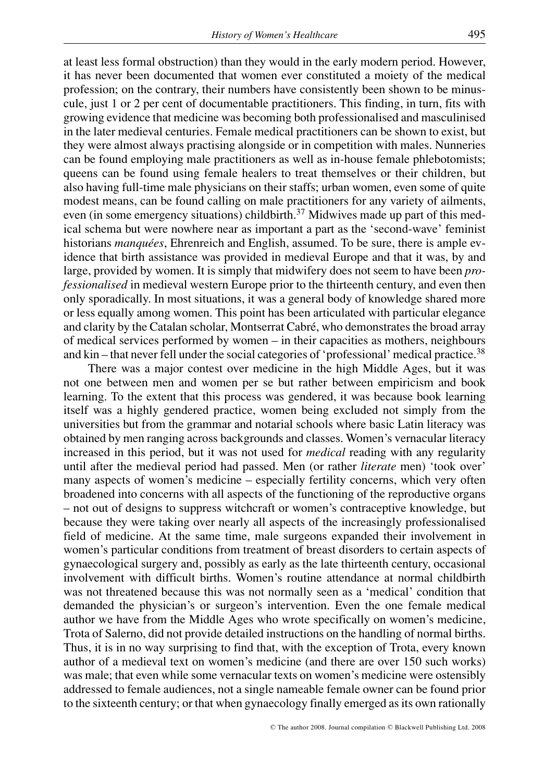at least less formal obstruction) than they would in the early modern period. However, it has never been documented that women ever constituted a moiety of the medical profession; on the contrary, their numbers have consistently been shown to be minuscule, just 1 or 2 per cent of documentable practitioners. This finding, in turn, fits with growing evidence that medicine was becoming both professionalised and masculinised in the later medieval centuries. Female medical practitioners can be shown to exist, but they were almost always practising alongside or in competition with males. Nunneries can be found employing male practitioners as well as in-house female phlebotomists; queens can be found using female healers to treat themselves or their children, but also having full-time male physicians on their staffs; urban women, even some of quite modest means, can be found calling on male practitioners for any variety of ailments, even (in some emergency situations) childbirth.<sup>37</sup> Midwives made up part of this medical schema but were nowhere near as important a part as the 'second-wave' feminist historians *manquées*, Ehrenreich and English, assumed. To be sure, there is ample evidence that birth assistance was provided in medieval Europe and that it was, by and large, provided by women. It is simply that midwifery does not seem to have been *professionalised* in medieval western Europe prior to the thirteenth century, and even then only sporadically. In most situations, it was a general body of knowledge shared more or less equally among women. This point has been articulated with particular elegance and clarity by the Catalan scholar, Montserrat Cabré, who demonstrates the broad array of medical services performed by women – in their capacities as mothers, neighbours and kin – that never fell under the social categories of 'professional' medical practice.<sup>38</sup>

There was a major contest over medicine in the high Middle Ages, but it was not one between men and women per se but rather between empiricism and book learning. To the extent that this process was gendered, it was because book learning itself was a highly gendered practice, women being excluded not simply from the universities but from the grammar and notarial schools where basic Latin literacy was obtained by men ranging across backgrounds and classes. Women's vernacular literacy increased in this period, but it was not used for *medical* reading with any regularity until after the medieval period had passed. Men (or rather *literate* men) 'took over' many aspects of women's medicine – especially fertility concerns, which very often broadened into concerns with all aspects of the functioning of the reproductive organs – not out of designs to suppress witchcraft or women's contraceptive knowledge, but because they were taking over nearly all aspects of the increasingly professionalised field of medicine. At the same time, male surgeons expanded their involvement in women's particular conditions from treatment of breast disorders to certain aspects of gynaecological surgery and, possibly as early as the late thirteenth century, occasional involvement with difficult births. Women's routine attendance at normal childbirth was not threatened because this was not normally seen as a 'medical' condition that demanded the physician's or surgeon's intervention. Even the one female medical author we have from the Middle Ages who wrote specifically on women's medicine, Trota of Salerno, did not provide detailed instructions on the handling of normal births. Thus, it is in no way surprising to find that, with the exception of Trota, every known author of a medieval text on women's medicine (and there are over 150 such works) was male; that even while some vernacular texts on women's medicine were ostensibly addressed to female audiences, not a single nameable female owner can be found prior to the sixteenth century; or that when gynaecology finally emerged as its own rationally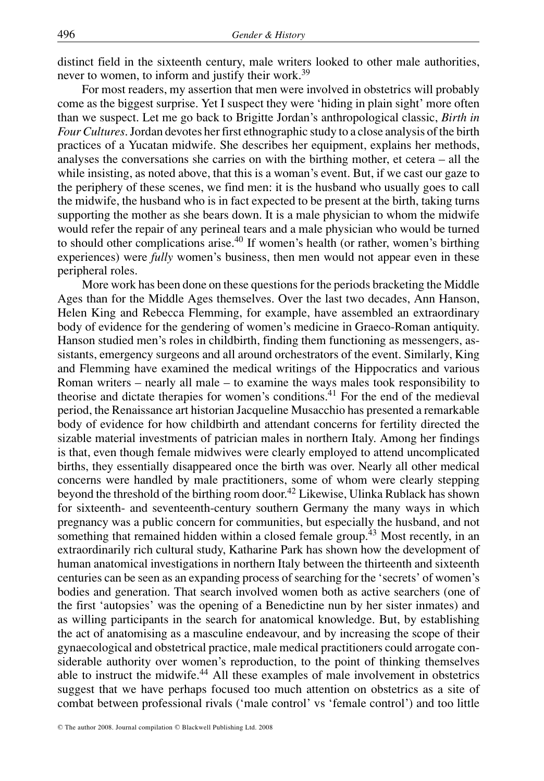distinct field in the sixteenth century, male writers looked to other male authorities, never to women, to inform and justify their work.<sup>39</sup>

For most readers, my assertion that men were involved in obstetrics will probably come as the biggest surprise. Yet I suspect they were 'hiding in plain sight' more often than we suspect. Let me go back to Brigitte Jordan's anthropological classic, *Birth in Four Cultures*. Jordan devotes her first ethnographic study to a close analysis of the birth practices of a Yucatan midwife. She describes her equipment, explains her methods, analyses the conversations she carries on with the birthing mother, et cetera – all the while insisting, as noted above, that this is a woman's event. But, if we cast our gaze to the periphery of these scenes, we find men: it is the husband who usually goes to call the midwife, the husband who is in fact expected to be present at the birth, taking turns supporting the mother as she bears down. It is a male physician to whom the midwife would refer the repair of any perineal tears and a male physician who would be turned to should other complications arise.40 If women's health (or rather, women's birthing experiences) were *fully* women's business, then men would not appear even in these peripheral roles.

More work has been done on these questions for the periods bracketing the Middle Ages than for the Middle Ages themselves. Over the last two decades, Ann Hanson, Helen King and Rebecca Flemming, for example, have assembled an extraordinary body of evidence for the gendering of women's medicine in Graeco-Roman antiquity. Hanson studied men's roles in childbirth, finding them functioning as messengers, assistants, emergency surgeons and all around orchestrators of the event. Similarly, King and Flemming have examined the medical writings of the Hippocratics and various Roman writers – nearly all male – to examine the ways males took responsibility to theorise and dictate therapies for women's conditions.<sup>41</sup> For the end of the medieval period, the Renaissance art historian Jacqueline Musacchio has presented a remarkable body of evidence for how childbirth and attendant concerns for fertility directed the sizable material investments of patrician males in northern Italy. Among her findings is that, even though female midwives were clearly employed to attend uncomplicated births, they essentially disappeared once the birth was over. Nearly all other medical concerns were handled by male practitioners, some of whom were clearly stepping beyond the threshold of the birthing room door.<sup>42</sup> Likewise, Ulinka Rublack has shown for sixteenth- and seventeenth-century southern Germany the many ways in which pregnancy was a public concern for communities, but especially the husband, and not something that remained hidden within a closed female group.<sup>43</sup> Most recently, in an extraordinarily rich cultural study, Katharine Park has shown how the development of human anatomical investigations in northern Italy between the thirteenth and sixteenth centuries can be seen as an expanding process of searching for the 'secrets' of women's bodies and generation. That search involved women both as active searchers (one of the first 'autopsies' was the opening of a Benedictine nun by her sister inmates) and as willing participants in the search for anatomical knowledge. But, by establishing the act of anatomising as a masculine endeavour, and by increasing the scope of their gynaecological and obstetrical practice, male medical practitioners could arrogate considerable authority over women's reproduction, to the point of thinking themselves able to instruct the midwife.44 All these examples of male involvement in obstetrics suggest that we have perhaps focused too much attention on obstetrics as a site of combat between professional rivals ('male control' vs 'female control') and too little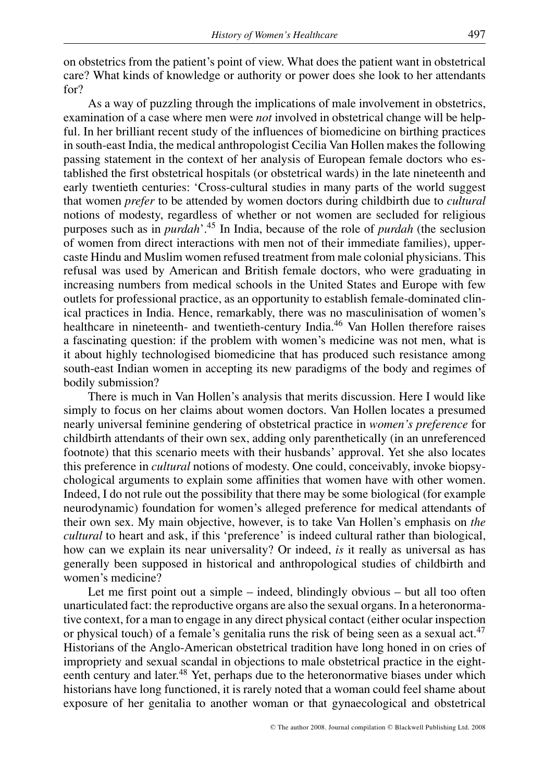on obstetrics from the patient's point of view. What does the patient want in obstetrical care? What kinds of knowledge or authority or power does she look to her attendants for?

As a way of puzzling through the implications of male involvement in obstetrics, examination of a case where men were *not* involved in obstetrical change will be helpful. In her brilliant recent study of the influences of biomedicine on birthing practices in south-east India, the medical anthropologist Cecilia Van Hollen makes the following passing statement in the context of her analysis of European female doctors who established the first obstetrical hospitals (or obstetrical wards) in the late nineteenth and early twentieth centuries: 'Cross-cultural studies in many parts of the world suggest that women *prefer* to be attended by women doctors during childbirth due to *cultural* notions of modesty, regardless of whether or not women are secluded for religious purposes such as in *purdah*'.<sup>45</sup> In India, because of the role of *purdah* (the seclusion of women from direct interactions with men not of their immediate families), uppercaste Hindu and Muslim women refused treatment from male colonial physicians. This refusal was used by American and British female doctors, who were graduating in increasing numbers from medical schools in the United States and Europe with few outlets for professional practice, as an opportunity to establish female-dominated clinical practices in India. Hence, remarkably, there was no masculinisation of women's healthcare in nineteenth- and twentieth-century India.<sup>46</sup> Van Hollen therefore raises a fascinating question: if the problem with women's medicine was not men, what is it about highly technologised biomedicine that has produced such resistance among south-east Indian women in accepting its new paradigms of the body and regimes of bodily submission?

There is much in Van Hollen's analysis that merits discussion. Here I would like simply to focus on her claims about women doctors. Van Hollen locates a presumed nearly universal feminine gendering of obstetrical practice in *women's preference* for childbirth attendants of their own sex, adding only parenthetically (in an unreferenced footnote) that this scenario meets with their husbands' approval. Yet she also locates this preference in *cultural* notions of modesty. One could, conceivably, invoke biopsychological arguments to explain some affinities that women have with other women. Indeed, I do not rule out the possibility that there may be some biological (for example neurodynamic) foundation for women's alleged preference for medical attendants of their own sex. My main objective, however, is to take Van Hollen's emphasis on *the cultural* to heart and ask, if this 'preference' is indeed cultural rather than biological, how can we explain its near universality? Or indeed, *is* it really as universal as has generally been supposed in historical and anthropological studies of childbirth and women's medicine?

Let me first point out a simple – indeed, blindingly obvious – but all too often unarticulated fact: the reproductive organs are also the sexual organs. In a heteronormative context, for a man to engage in any direct physical contact (either ocular inspection or physical touch) of a female's genitalia runs the risk of being seen as a sexual act.<sup>47</sup> Historians of the Anglo-American obstetrical tradition have long honed in on cries of impropriety and sexual scandal in objections to male obstetrical practice in the eighteenth century and later.<sup>48</sup> Yet, perhaps due to the heteronormative biases under which historians have long functioned, it is rarely noted that a woman could feel shame about exposure of her genitalia to another woman or that gynaecological and obstetrical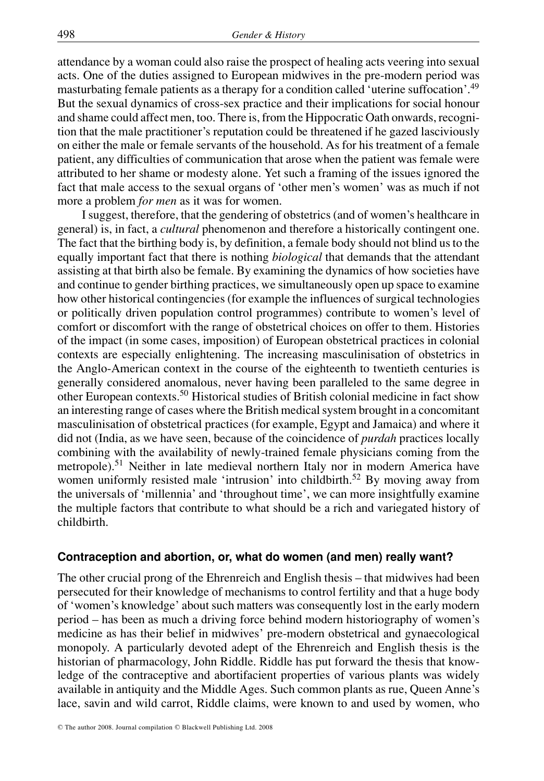attendance by a woman could also raise the prospect of healing acts veering into sexual acts. One of the duties assigned to European midwives in the pre-modern period was masturbating female patients as a therapy for a condition called 'uterine suffocation'.49 But the sexual dynamics of cross-sex practice and their implications for social honour and shame could affect men, too. There is, from the Hippocratic Oath onwards, recognition that the male practitioner's reputation could be threatened if he gazed lasciviously on either the male or female servants of the household. As for his treatment of a female patient, any difficulties of communication that arose when the patient was female were attributed to her shame or modesty alone. Yet such a framing of the issues ignored the fact that male access to the sexual organs of 'other men's women' was as much if not more a problem *for men* as it was for women.

I suggest, therefore, that the gendering of obstetrics (and of women's healthcare in general) is, in fact, a *cultural* phenomenon and therefore a historically contingent one. The fact that the birthing body is, by definition, a female body should not blind us to the equally important fact that there is nothing *biological* that demands that the attendant assisting at that birth also be female. By examining the dynamics of how societies have and continue to gender birthing practices, we simultaneously open up space to examine how other historical contingencies (for example the influences of surgical technologies or politically driven population control programmes) contribute to women's level of comfort or discomfort with the range of obstetrical choices on offer to them. Histories of the impact (in some cases, imposition) of European obstetrical practices in colonial contexts are especially enlightening. The increasing masculinisation of obstetrics in the Anglo-American context in the course of the eighteenth to twentieth centuries is generally considered anomalous, never having been paralleled to the same degree in other European contexts.50 Historical studies of British colonial medicine in fact show an interesting range of cases where the British medical system brought in a concomitant masculinisation of obstetrical practices (for example, Egypt and Jamaica) and where it did not (India, as we have seen, because of the coincidence of *purdah* practices locally combining with the availability of newly-trained female physicians coming from the metropole).51 Neither in late medieval northern Italy nor in modern America have women uniformly resisted male 'intrusion' into childbirth.<sup>52</sup> By moving away from the universals of 'millennia' and 'throughout time', we can more insightfully examine the multiple factors that contribute to what should be a rich and variegated history of childbirth.

# **Contraception and abortion, or, what do women (and men) really want?**

The other crucial prong of the Ehrenreich and English thesis – that midwives had been persecuted for their knowledge of mechanisms to control fertility and that a huge body of 'women's knowledge' about such matters was consequently lost in the early modern period – has been as much a driving force behind modern historiography of women's medicine as has their belief in midwives' pre-modern obstetrical and gynaecological monopoly. A particularly devoted adept of the Ehrenreich and English thesis is the historian of pharmacology, John Riddle. Riddle has put forward the thesis that knowledge of the contraceptive and abortifacient properties of various plants was widely available in antiquity and the Middle Ages. Such common plants as rue, Queen Anne's lace, savin and wild carrot, Riddle claims, were known to and used by women, who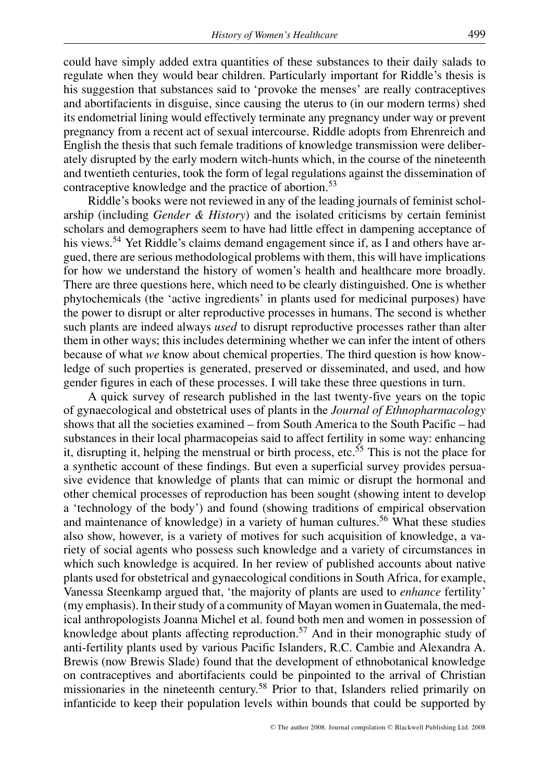could have simply added extra quantities of these substances to their daily salads to regulate when they would bear children. Particularly important for Riddle's thesis is his suggestion that substances said to 'provoke the menses' are really contraceptives and abortifacients in disguise, since causing the uterus to (in our modern terms) shed its endometrial lining would effectively terminate any pregnancy under way or prevent pregnancy from a recent act of sexual intercourse. Riddle adopts from Ehrenreich and English the thesis that such female traditions of knowledge transmission were deliberately disrupted by the early modern witch-hunts which, in the course of the nineteenth and twentieth centuries, took the form of legal regulations against the dissemination of contraceptive knowledge and the practice of abortion.<sup>53</sup>

Riddle's books were not reviewed in any of the leading journals of feminist scholarship (including *Gender & History*) and the isolated criticisms by certain feminist scholars and demographers seem to have had little effect in dampening acceptance of his views.<sup>54</sup> Yet Riddle's claims demand engagement since if, as I and others have argued, there are serious methodological problems with them, this will have implications for how we understand the history of women's health and healthcare more broadly. There are three questions here, which need to be clearly distinguished. One is whether phytochemicals (the 'active ingredients' in plants used for medicinal purposes) have the power to disrupt or alter reproductive processes in humans. The second is whether such plants are indeed always *used* to disrupt reproductive processes rather than alter them in other ways; this includes determining whether we can infer the intent of others because of what *we* know about chemical properties. The third question is how knowledge of such properties is generated, preserved or disseminated, and used, and how gender figures in each of these processes. I will take these three questions in turn.

A quick survey of research published in the last twenty-five years on the topic of gynaecological and obstetrical uses of plants in the *Journal of Ethnopharmacology* shows that all the societies examined – from South America to the South Pacific – had substances in their local pharmacopeias said to affect fertility in some way: enhancing it, disrupting it, helping the menstrual or birth process, etc.<sup>55</sup> This is not the place for a synthetic account of these findings. But even a superficial survey provides persuasive evidence that knowledge of plants that can mimic or disrupt the hormonal and other chemical processes of reproduction has been sought (showing intent to develop a 'technology of the body') and found (showing traditions of empirical observation and maintenance of knowledge) in a variety of human cultures.<sup>56</sup> What these studies also show, however, is a variety of motives for such acquisition of knowledge, a variety of social agents who possess such knowledge and a variety of circumstances in which such knowledge is acquired. In her review of published accounts about native plants used for obstetrical and gynaecological conditions in South Africa, for example, Vanessa Steenkamp argued that, 'the majority of plants are used to *enhance* fertility' (my emphasis). In their study of a community of Mayan women in Guatemala, the medical anthropologists Joanna Michel et al. found both men and women in possession of knowledge about plants affecting reproduction.57 And in their monographic study of anti-fertility plants used by various Pacific Islanders, R.C. Cambie and Alexandra A. Brewis (now Brewis Slade) found that the development of ethnobotanical knowledge on contraceptives and abortifacients could be pinpointed to the arrival of Christian missionaries in the nineteenth century.<sup>58</sup> Prior to that, Islanders relied primarily on infanticide to keep their population levels within bounds that could be supported by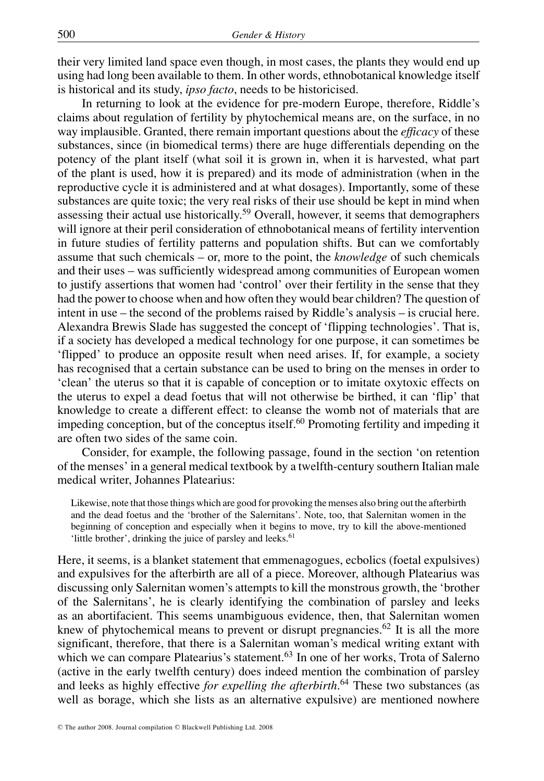their very limited land space even though, in most cases, the plants they would end up using had long been available to them. In other words, ethnobotanical knowledge itself is historical and its study, *ipso facto*, needs to be historicised.

In returning to look at the evidence for pre-modern Europe, therefore, Riddle's claims about regulation of fertility by phytochemical means are, on the surface, in no way implausible. Granted, there remain important questions about the *efficacy* of these substances, since (in biomedical terms) there are huge differentials depending on the potency of the plant itself (what soil it is grown in, when it is harvested, what part of the plant is used, how it is prepared) and its mode of administration (when in the reproductive cycle it is administered and at what dosages). Importantly, some of these substances are quite toxic; the very real risks of their use should be kept in mind when assessing their actual use historically.<sup>59</sup> Overall, however, it seems that demographers will ignore at their peril consideration of ethnobotanical means of fertility intervention in future studies of fertility patterns and population shifts. But can we comfortably assume that such chemicals – or, more to the point, the *knowledge* of such chemicals and their uses – was sufficiently widespread among communities of European women to justify assertions that women had 'control' over their fertility in the sense that they had the power to choose when and how often they would bear children? The question of intent in use – the second of the problems raised by Riddle's analysis – is crucial here. Alexandra Brewis Slade has suggested the concept of 'flipping technologies'. That is, if a society has developed a medical technology for one purpose, it can sometimes be 'flipped' to produce an opposite result when need arises. If, for example, a society has recognised that a certain substance can be used to bring on the menses in order to 'clean' the uterus so that it is capable of conception or to imitate oxytoxic effects on the uterus to expel a dead foetus that will not otherwise be birthed, it can 'flip' that knowledge to create a different effect: to cleanse the womb not of materials that are impeding conception, but of the conceptus itself. $60$  Promoting fertility and impeding it are often two sides of the same coin.

Consider, for example, the following passage, found in the section 'on retention of the menses' in a general medical textbook by a twelfth-century southern Italian male medical writer, Johannes Platearius:

Likewise, note that those things which are good for provoking the menses also bring out the afterbirth and the dead foetus and the 'brother of the Salernitans'. Note, too, that Salernitan women in the beginning of conception and especially when it begins to move, try to kill the above-mentioned 'little brother', drinking the juice of parsley and leeks.<sup>61</sup>

Here, it seems, is a blanket statement that emmenagogues, ecbolics (foetal expulsives) and expulsives for the afterbirth are all of a piece. Moreover, although Platearius was discussing only Salernitan women's attempts to kill the monstrous growth, the 'brother of the Salernitans', he is clearly identifying the combination of parsley and leeks as an abortifacient. This seems unambiguous evidence, then, that Salernitan women knew of phytochemical means to prevent or disrupt pregnancies.<sup>62</sup> It is all the more significant, therefore, that there is a Salernitan woman's medical writing extant with which we can compare Platearius's statement.<sup>63</sup> In one of her works, Trota of Salerno (active in the early twelfth century) does indeed mention the combination of parsley and leeks as highly effective *for expelling the afterbirth*. <sup>64</sup> These two substances (as well as borage, which she lists as an alternative expulsive) are mentioned nowhere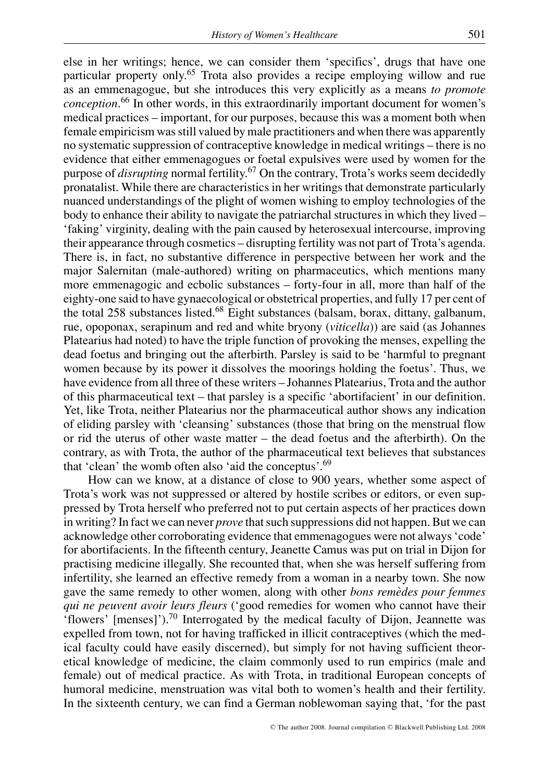else in her writings; hence, we can consider them 'specifics', drugs that have one particular property only.65 Trota also provides a recipe employing willow and rue as an emmenagogue, but she introduces this very explicitly as a means *to promote conception*. <sup>66</sup> In other words, in this extraordinarily important document for women's medical practices – important, for our purposes, because this was a moment both when female empiricism was still valued by male practitioners and when there was apparently no systematic suppression of contraceptive knowledge in medical writings – there is no evidence that either emmenagogues or foetal expulsives were used by women for the purpose of *disrupting* normal fertility.<sup>67</sup> On the contrary, Trota's works seem decidedly pronatalist. While there are characteristics in her writings that demonstrate particularly nuanced understandings of the plight of women wishing to employ technologies of the body to enhance their ability to navigate the patriarchal structures in which they lived – 'faking' virginity, dealing with the pain caused by heterosexual intercourse, improving their appearance through cosmetics – disrupting fertility was not part of Trota's agenda. There is, in fact, no substantive difference in perspective between her work and the major Salernitan (male-authored) writing on pharmaceutics, which mentions many more emmenagogic and ecbolic substances – forty-four in all, more than half of the eighty-one said to have gynaecological or obstetrical properties, and fully 17 per cent of the total 258 substances listed.<sup>68</sup> Eight substances (balsam, borax, dittany, galbanum, rue, opoponax, serapinum and red and white bryony (*viticella*)) are said (as Johannes Platearius had noted) to have the triple function of provoking the menses, expelling the dead foetus and bringing out the afterbirth. Parsley is said to be 'harmful to pregnant women because by its power it dissolves the moorings holding the foetus'. Thus, we have evidence from all three of these writers – Johannes Platearius, Trota and the author of this pharmaceutical text – that parsley is a specific 'abortifacient' in our definition. Yet, like Trota, neither Platearius nor the pharmaceutical author shows any indication of eliding parsley with 'cleansing' substances (those that bring on the menstrual flow or rid the uterus of other waste matter – the dead foetus and the afterbirth). On the contrary, as with Trota, the author of the pharmaceutical text believes that substances that 'clean' the womb often also 'aid the conceptus'.<sup>69</sup>

How can we know, at a distance of close to 900 years, whether some aspect of Trota's work was not suppressed or altered by hostile scribes or editors, or even suppressed by Trota herself who preferred not to put certain aspects of her practices down in writing? In fact we can never *prove* that such suppressions did not happen. But we can acknowledge other corroborating evidence that emmenagogues were not always 'code' for abortifacients. In the fifteenth century, Jeanette Camus was put on trial in Dijon for practising medicine illegally. She recounted that, when she was herself suffering from infertility, she learned an effective remedy from a woman in a nearby town. She now gave the same remedy to other women, along with other *bons remedes pour femmes ` qui ne peuvent avoir leurs fleurs* ('good remedies for women who cannot have their 'flowers' [menses]').<sup>70</sup> Interrogated by the medical faculty of Dijon, Jeannette was expelled from town, not for having trafficked in illicit contraceptives (which the medical faculty could have easily discerned), but simply for not having sufficient theoretical knowledge of medicine, the claim commonly used to run empirics (male and female) out of medical practice. As with Trota, in traditional European concepts of humoral medicine, menstruation was vital both to women's health and their fertility. In the sixteenth century, we can find a German noblewoman saying that, 'for the past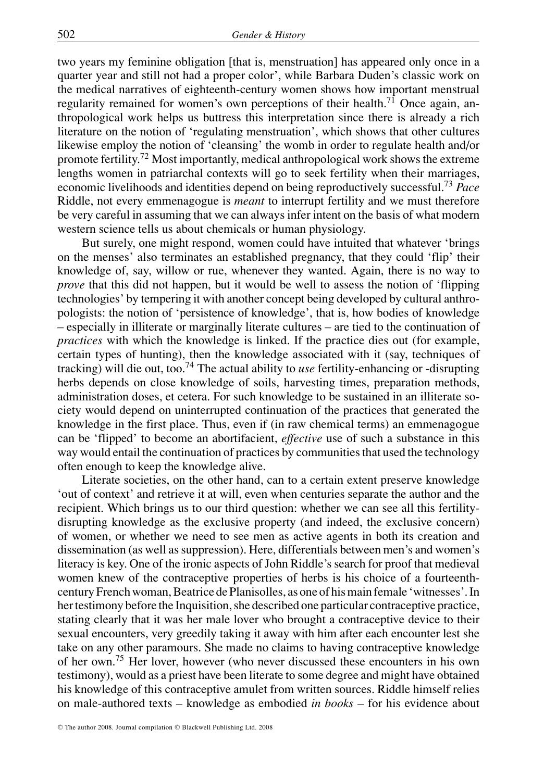two years my feminine obligation [that is, menstruation] has appeared only once in a quarter year and still not had a proper color', while Barbara Duden's classic work on the medical narratives of eighteenth-century women shows how important menstrual regularity remained for women's own perceptions of their health.<sup>71</sup> Once again, anthropological work helps us buttress this interpretation since there is already a rich literature on the notion of 'regulating menstruation', which shows that other cultures likewise employ the notion of 'cleansing' the womb in order to regulate health and/or promote fertility.<sup>72</sup> Most importantly, medical anthropological work shows the extreme lengths women in patriarchal contexts will go to seek fertility when their marriages, economic livelihoods and identities depend on being reproductively successful.73 *Pace* Riddle, not every emmenagogue is *meant* to interrupt fertility and we must therefore be very careful in assuming that we can always infer intent on the basis of what modern western science tells us about chemicals or human physiology.

But surely, one might respond, women could have intuited that whatever 'brings on the menses' also terminates an established pregnancy, that they could 'flip' their knowledge of, say, willow or rue, whenever they wanted. Again, there is no way to *prove* that this did not happen, but it would be well to assess the notion of 'flipping technologies' by tempering it with another concept being developed by cultural anthropologists: the notion of 'persistence of knowledge', that is, how bodies of knowledge – especially in illiterate or marginally literate cultures – are tied to the continuation of *practices* with which the knowledge is linked. If the practice dies out (for example, certain types of hunting), then the knowledge associated with it (say, techniques of tracking) will die out, too.74 The actual ability to *use* fertility-enhancing or -disrupting herbs depends on close knowledge of soils, harvesting times, preparation methods, administration doses, et cetera. For such knowledge to be sustained in an illiterate society would depend on uninterrupted continuation of the practices that generated the knowledge in the first place. Thus, even if (in raw chemical terms) an emmenagogue can be 'flipped' to become an abortifacient, *effective* use of such a substance in this way would entail the continuation of practices by communities that used the technology often enough to keep the knowledge alive.

Literate societies, on the other hand, can to a certain extent preserve knowledge 'out of context' and retrieve it at will, even when centuries separate the author and the recipient. Which brings us to our third question: whether we can see all this fertilitydisrupting knowledge as the exclusive property (and indeed, the exclusive concern) of women, or whether we need to see men as active agents in both its creation and dissemination (as well as suppression). Here, differentials between men's and women's literacy is key. One of the ironic aspects of John Riddle's search for proof that medieval women knew of the contraceptive properties of herbs is his choice of a fourteenthcentury French woman, Beatrice de Planisolles, as one of his main female 'witnesses'. In her testimony before the Inquisition, she described one particular contraceptive practice, stating clearly that it was her male lover who brought a contraceptive device to their sexual encounters, very greedily taking it away with him after each encounter lest she take on any other paramours. She made no claims to having contraceptive knowledge of her own.<sup>75</sup> Her lover, however (who never discussed these encounters in his own testimony), would as a priest have been literate to some degree and might have obtained his knowledge of this contraceptive amulet from written sources. Riddle himself relies on male-authored texts – knowledge as embodied *in books* – for his evidence about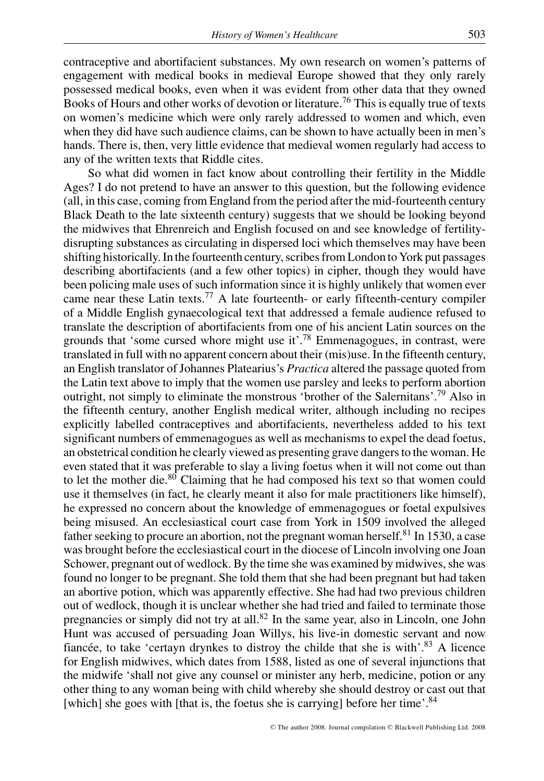contraceptive and abortifacient substances. My own research on women's patterns of engagement with medical books in medieval Europe showed that they only rarely possessed medical books, even when it was evident from other data that they owned Books of Hours and other works of devotion or literature.<sup>76</sup> This is equally true of texts on women's medicine which were only rarely addressed to women and which, even when they did have such audience claims, can be shown to have actually been in men's hands. There is, then, very little evidence that medieval women regularly had access to any of the written texts that Riddle cites.

So what did women in fact know about controlling their fertility in the Middle Ages? I do not pretend to have an answer to this question, but the following evidence (all, in this case, coming from England from the period after the mid-fourteenth century Black Death to the late sixteenth century) suggests that we should be looking beyond the midwives that Ehrenreich and English focused on and see knowledge of fertilitydisrupting substances as circulating in dispersed loci which themselves may have been shifting historically. In the fourteenth century, scribes from London to York put passages describing abortifacients (and a few other topics) in cipher, though they would have been policing male uses of such information since it is highly unlikely that women ever came near these Latin texts.77 A late fourteenth- or early fifteenth-century compiler of a Middle English gynaecological text that addressed a female audience refused to translate the description of abortifacients from one of his ancient Latin sources on the grounds that 'some cursed whore might use it'.78 Emmenagogues, in contrast, were translated in full with no apparent concern about their (mis)use. In the fifteenth century, an English translator of Johannes Platearius's *Practica* altered the passage quoted from the Latin text above to imply that the women use parsley and leeks to perform abortion outright, not simply to eliminate the monstrous 'brother of the Salernitans'.79 Also in the fifteenth century, another English medical writer, although including no recipes explicitly labelled contraceptives and abortifacients, nevertheless added to his text significant numbers of emmenagogues as well as mechanisms to expel the dead foetus, an obstetrical condition he clearly viewed as presenting grave dangers to the woman. He even stated that it was preferable to slay a living foetus when it will not come out than to let the mother die. $80$  Claiming that he had composed his text so that women could use it themselves (in fact, he clearly meant it also for male practitioners like himself), he expressed no concern about the knowledge of emmenagogues or foetal expulsives being misused. An ecclesiastical court case from York in 1509 involved the alleged father seeking to procure an abortion, not the pregnant woman herself.<sup>81</sup> In 1530, a case was brought before the ecclesiastical court in the diocese of Lincoln involving one Joan Schower, pregnant out of wedlock. By the time she was examined by midwives, she was found no longer to be pregnant. She told them that she had been pregnant but had taken an abortive potion, which was apparently effective. She had had two previous children out of wedlock, though it is unclear whether she had tried and failed to terminate those pregnancies or simply did not try at all.<sup>82</sup> In the same year, also in Lincoln, one John Hunt was accused of persuading Joan Willys, his live-in domestic servant and now fiancée, to take 'certayn drynkes to distroy the childe that she is with'. $83$  A licence for English midwives, which dates from 1588, listed as one of several injunctions that the midwife 'shall not give any counsel or minister any herb, medicine, potion or any other thing to any woman being with child whereby she should destroy or cast out that [which] she goes with [that is, the foetus she is carrying] before her time'. $84$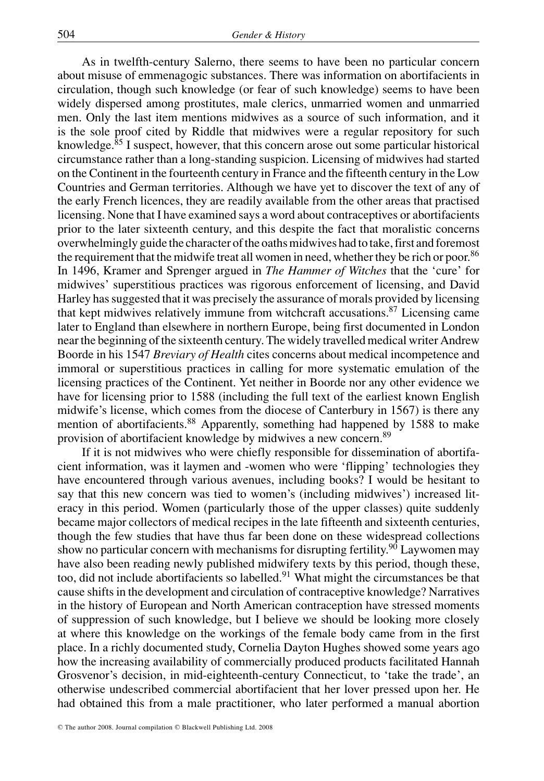As in twelfth-century Salerno, there seems to have been no particular concern about misuse of emmenagogic substances. There was information on abortifacients in circulation, though such knowledge (or fear of such knowledge) seems to have been widely dispersed among prostitutes, male clerics, unmarried women and unmarried men. Only the last item mentions midwives as a source of such information, and it is the sole proof cited by Riddle that midwives were a regular repository for such knowledge. $85$  I suspect, however, that this concern arose out some particular historical circumstance rather than a long-standing suspicion. Licensing of midwives had started on the Continent in the fourteenth century in France and the fifteenth century in the Low Countries and German territories. Although we have yet to discover the text of any of the early French licences, they are readily available from the other areas that practised licensing. None that I have examined says a word about contraceptives or abortifacients prior to the later sixteenth century, and this despite the fact that moralistic concerns overwhelmingly guide the character of the oaths midwives had to take, first and foremost the requirement that the midwife treat all women in need, whether they be rich or poor.<sup>86</sup> In 1496, Kramer and Sprenger argued in *The Hammer of Witches* that the 'cure' for midwives' superstitious practices was rigorous enforcement of licensing, and David Harley has suggested that it was precisely the assurance of morals provided by licensing that kept midwives relatively immune from witchcraft accusations.<sup>87</sup> Licensing came later to England than elsewhere in northern Europe, being first documented in London near the beginning of the sixteenth century. The widely travelled medical writer Andrew Boorde in his 1547 *Breviary of Health* cites concerns about medical incompetence and immoral or superstitious practices in calling for more systematic emulation of the licensing practices of the Continent. Yet neither in Boorde nor any other evidence we have for licensing prior to 1588 (including the full text of the earliest known English midwife's license, which comes from the diocese of Canterbury in 1567) is there any mention of abortifacients.<sup>88</sup> Apparently, something had happened by 1588 to make provision of abortifacient knowledge by midwives a new concern.89

If it is not midwives who were chiefly responsible for dissemination of abortifacient information, was it laymen and -women who were 'flipping' technologies they have encountered through various avenues, including books? I would be hesitant to say that this new concern was tied to women's (including midwives') increased literacy in this period. Women (particularly those of the upper classes) quite suddenly became major collectors of medical recipes in the late fifteenth and sixteenth centuries, though the few studies that have thus far been done on these widespread collections show no particular concern with mechanisms for disrupting fertility.<sup>90</sup> Laywomen may have also been reading newly published midwifery texts by this period, though these, too, did not include abortifacients so labelled.<sup>91</sup> What might the circumstances be that cause shifts in the development and circulation of contraceptive knowledge? Narratives in the history of European and North American contraception have stressed moments of suppression of such knowledge, but I believe we should be looking more closely at where this knowledge on the workings of the female body came from in the first place. In a richly documented study, Cornelia Dayton Hughes showed some years ago how the increasing availability of commercially produced products facilitated Hannah Grosvenor's decision, in mid-eighteenth-century Connecticut, to 'take the trade', an otherwise undescribed commercial abortifacient that her lover pressed upon her. He had obtained this from a male practitioner, who later performed a manual abortion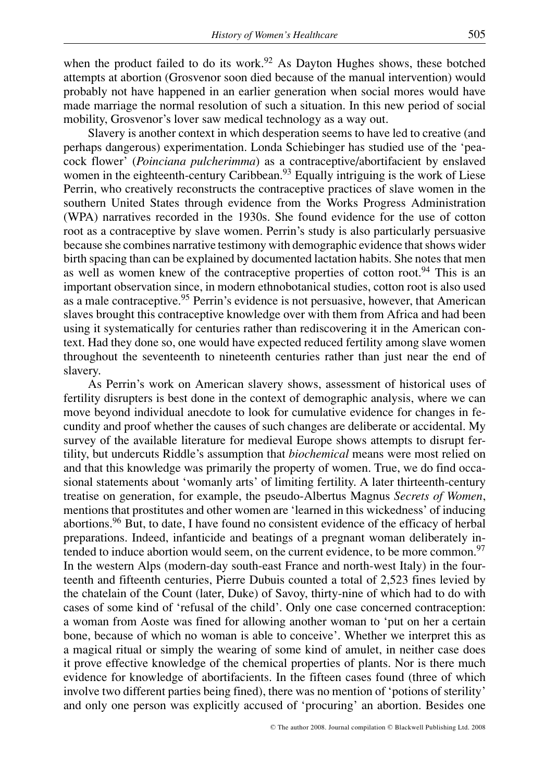when the product failed to do its work.<sup>92</sup> As Dayton Hughes shows, these botched attempts at abortion (Grosvenor soon died because of the manual intervention) would probably not have happened in an earlier generation when social mores would have made marriage the normal resolution of such a situation. In this new period of social mobility, Grosvenor's lover saw medical technology as a way out.

Slavery is another context in which desperation seems to have led to creative (and perhaps dangerous) experimentation. Londa Schiebinger has studied use of the 'peacock flower' (*Poinciana pulcherimma*) as a contraceptive/abortifacient by enslaved women in the eighteenth-century Caribbean.<sup>93</sup> Equally intriguing is the work of Liese Perrin, who creatively reconstructs the contraceptive practices of slave women in the southern United States through evidence from the Works Progress Administration (WPA) narratives recorded in the 1930s. She found evidence for the use of cotton root as a contraceptive by slave women. Perrin's study is also particularly persuasive because she combines narrative testimony with demographic evidence that shows wider birth spacing than can be explained by documented lactation habits. She notes that men as well as women knew of the contraceptive properties of cotton root.<sup>94</sup> This is an important observation since, in modern ethnobotanical studies, cotton root is also used as a male contraceptive.<sup>95</sup> Perrin's evidence is not persuasive, however, that American slaves brought this contraceptive knowledge over with them from Africa and had been using it systematically for centuries rather than rediscovering it in the American context. Had they done so, one would have expected reduced fertility among slave women throughout the seventeenth to nineteenth centuries rather than just near the end of slavery.

As Perrin's work on American slavery shows, assessment of historical uses of fertility disrupters is best done in the context of demographic analysis, where we can move beyond individual anecdote to look for cumulative evidence for changes in fecundity and proof whether the causes of such changes are deliberate or accidental. My survey of the available literature for medieval Europe shows attempts to disrupt fertility, but undercuts Riddle's assumption that *biochemical* means were most relied on and that this knowledge was primarily the property of women. True, we do find occasional statements about 'womanly arts' of limiting fertility. A later thirteenth-century treatise on generation, for example, the pseudo-Albertus Magnus *Secrets of Women*, mentions that prostitutes and other women are 'learned in this wickedness' of inducing abortions.96 But, to date, I have found no consistent evidence of the efficacy of herbal preparations. Indeed, infanticide and beatings of a pregnant woman deliberately intended to induce abortion would seem, on the current evidence, to be more common.<sup>97</sup> In the western Alps (modern-day south-east France and north-west Italy) in the fourteenth and fifteenth centuries, Pierre Dubuis counted a total of 2,523 fines levied by the chatelain of the Count (later, Duke) of Savoy, thirty-nine of which had to do with cases of some kind of 'refusal of the child'. Only one case concerned contraception: a woman from Aoste was fined for allowing another woman to 'put on her a certain bone, because of which no woman is able to conceive'. Whether we interpret this as a magical ritual or simply the wearing of some kind of amulet, in neither case does it prove effective knowledge of the chemical properties of plants. Nor is there much evidence for knowledge of abortifacients. In the fifteen cases found (three of which involve two different parties being fined), there was no mention of 'potions of sterility' and only one person was explicitly accused of 'procuring' an abortion. Besides one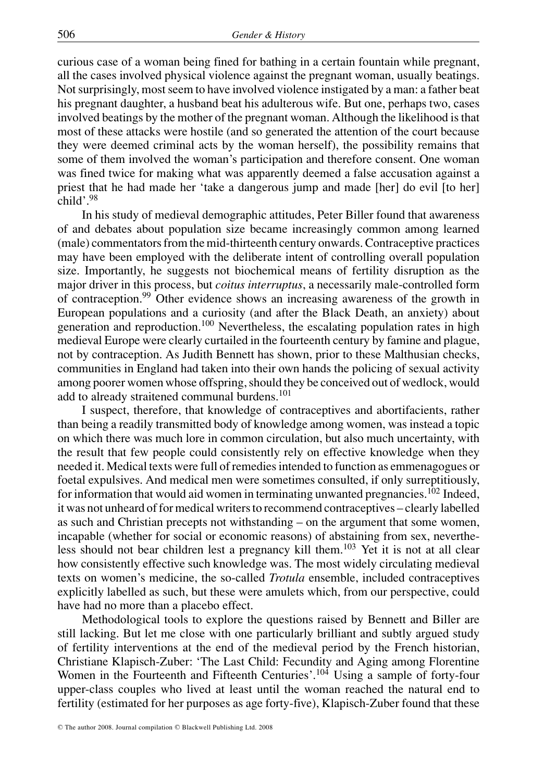curious case of a woman being fined for bathing in a certain fountain while pregnant, all the cases involved physical violence against the pregnant woman, usually beatings. Not surprisingly, most seem to have involved violence instigated by a man: a father beat his pregnant daughter, a husband beat his adulterous wife. But one, perhaps two, cases involved beatings by the mother of the pregnant woman. Although the likelihood is that most of these attacks were hostile (and so generated the attention of the court because they were deemed criminal acts by the woman herself), the possibility remains that some of them involved the woman's participation and therefore consent. One woman was fined twice for making what was apparently deemed a false accusation against a priest that he had made her 'take a dangerous jump and made [her] do evil [to her] child' $.^98$ 

In his study of medieval demographic attitudes, Peter Biller found that awareness of and debates about population size became increasingly common among learned (male) commentators from the mid-thirteenth century onwards. Contraceptive practices may have been employed with the deliberate intent of controlling overall population size. Importantly, he suggests not biochemical means of fertility disruption as the major driver in this process, but *coitus interruptus*, a necessarily male-controlled form of contraception.<sup>99</sup> Other evidence shows an increasing awareness of the growth in European populations and a curiosity (and after the Black Death, an anxiety) about generation and reproduction.<sup>100</sup> Nevertheless, the escalating population rates in high medieval Europe were clearly curtailed in the fourteenth century by famine and plague, not by contraception. As Judith Bennett has shown, prior to these Malthusian checks, communities in England had taken into their own hands the policing of sexual activity among poorer women whose offspring, should they be conceived out of wedlock, would add to already straitened communal burdens.<sup>101</sup>

I suspect, therefore, that knowledge of contraceptives and abortifacients, rather than being a readily transmitted body of knowledge among women, was instead a topic on which there was much lore in common circulation, but also much uncertainty, with the result that few people could consistently rely on effective knowledge when they needed it. Medical texts were full of remedies intended to function as emmenagogues or foetal expulsives. And medical men were sometimes consulted, if only surreptitiously, for information that would aid women in terminating unwanted pregnancies.<sup>102</sup> Indeed, it was not unheard of for medical writers to recommend contraceptives – clearly labelled as such and Christian precepts not withstanding – on the argument that some women, incapable (whether for social or economic reasons) of abstaining from sex, nevertheless should not bear children lest a pregnancy kill them.<sup>103</sup> Yet it is not at all clear how consistently effective such knowledge was. The most widely circulating medieval texts on women's medicine, the so-called *Trotula* ensemble, included contraceptives explicitly labelled as such, but these were amulets which, from our perspective, could have had no more than a placebo effect.

Methodological tools to explore the questions raised by Bennett and Biller are still lacking. But let me close with one particularly brilliant and subtly argued study of fertility interventions at the end of the medieval period by the French historian, Christiane Klapisch-Zuber: 'The Last Child: Fecundity and Aging among Florentine Women in the Fourteenth and Fifteenth Centuries'.<sup>104</sup> Using a sample of forty-four upper-class couples who lived at least until the woman reached the natural end to fertility (estimated for her purposes as age forty-five), Klapisch-Zuber found that these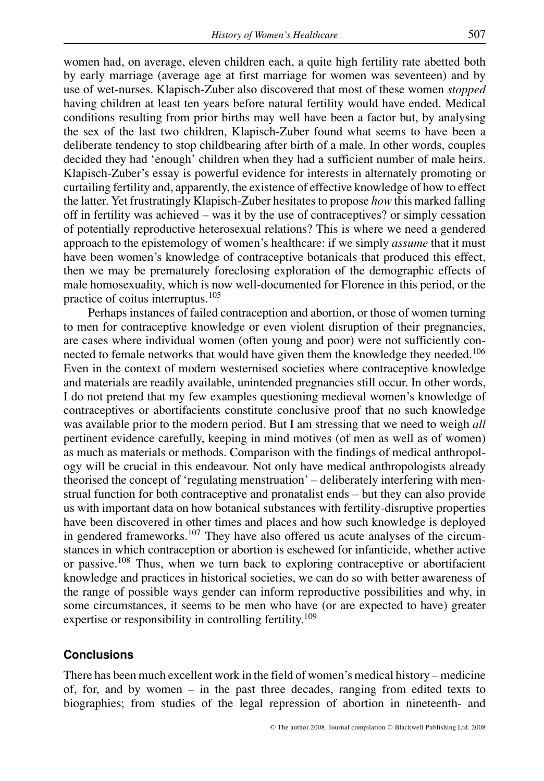women had, on average, eleven children each, a quite high fertility rate abetted both by early marriage (average age at first marriage for women was seventeen) and by use of wet-nurses. Klapisch-Zuber also discovered that most of these women *stopped* having children at least ten years before natural fertility would have ended. Medical conditions resulting from prior births may well have been a factor but, by analysing the sex of the last two children, Klapisch-Zuber found what seems to have been a deliberate tendency to stop childbearing after birth of a male. In other words, couples decided they had 'enough' children when they had a sufficient number of male heirs. Klapisch-Zuber's essay is powerful evidence for interests in alternately promoting or curtailing fertility and, apparently, the existence of effective knowledge of how to effect the latter. Yet frustratingly Klapisch-Zuber hesitates to propose *how* this marked falling off in fertility was achieved – was it by the use of contraceptives? or simply cessation of potentially reproductive heterosexual relations? This is where we need a gendered approach to the epistemology of women's healthcare: if we simply *assume* that it must have been women's knowledge of contraceptive botanicals that produced this effect, then we may be prematurely foreclosing exploration of the demographic effects of male homosexuality, which is now well-documented for Florence in this period, or the practice of coitus interruptus.105

Perhaps instances of failed contraception and abortion, or those of women turning to men for contraceptive knowledge or even violent disruption of their pregnancies, are cases where individual women (often young and poor) were not sufficiently connected to female networks that would have given them the knowledge they needed.<sup>106</sup> Even in the context of modern westernised societies where contraceptive knowledge and materials are readily available, unintended pregnancies still occur. In other words, I do not pretend that my few examples questioning medieval women's knowledge of contraceptives or abortifacients constitute conclusive proof that no such knowledge was available prior to the modern period. But I am stressing that we need to weigh *all* pertinent evidence carefully, keeping in mind motives (of men as well as of women) as much as materials or methods. Comparison with the findings of medical anthropology will be crucial in this endeavour. Not only have medical anthropologists already theorised the concept of 'regulating menstruation' – deliberately interfering with menstrual function for both contraceptive and pronatalist ends – but they can also provide us with important data on how botanical substances with fertility-disruptive properties have been discovered in other times and places and how such knowledge is deployed in gendered frameworks.<sup>107</sup> They have also offered us acute analyses of the circumstances in which contraception or abortion is eschewed for infanticide, whether active or passive.108 Thus, when we turn back to exploring contraceptive or abortifacient knowledge and practices in historical societies, we can do so with better awareness of the range of possible ways gender can inform reproductive possibilities and why, in some circumstances, it seems to be men who have (or are expected to have) greater expertise or responsibility in controlling fertility.<sup>109</sup>

## **Conclusions**

There has been much excellent work in the field of women's medical history – medicine of, for, and by women – in the past three decades, ranging from edited texts to biographies; from studies of the legal repression of abortion in nineteenth- and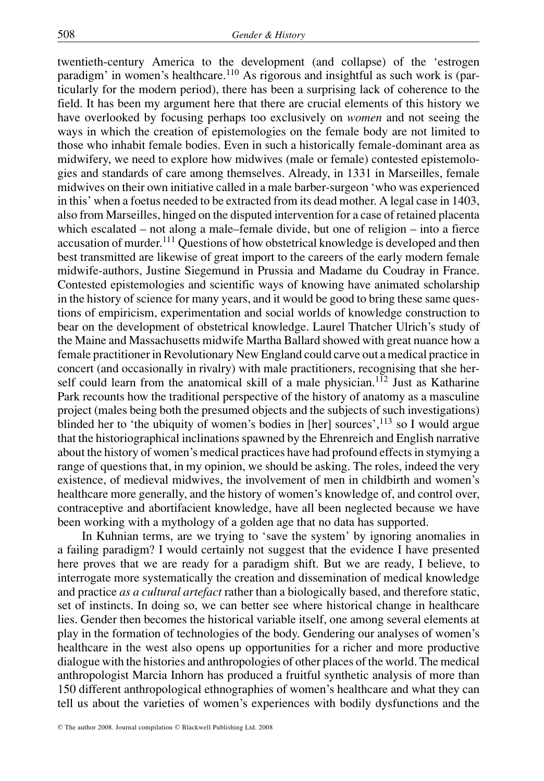twentieth-century America to the development (and collapse) of the 'estrogen paradigm' in women's healthcare.<sup>110</sup> As rigorous and insightful as such work is (particularly for the modern period), there has been a surprising lack of coherence to the field. It has been my argument here that there are crucial elements of this history we have overlooked by focusing perhaps too exclusively on *women* and not seeing the ways in which the creation of epistemologies on the female body are not limited to those who inhabit female bodies. Even in such a historically female-dominant area as midwifery, we need to explore how midwives (male or female) contested epistemologies and standards of care among themselves. Already, in 1331 in Marseilles, female midwives on their own initiative called in a male barber-surgeon 'who was experienced in this' when a foetus needed to be extracted from its dead mother. A legal case in 1403, also from Marseilles, hinged on the disputed intervention for a case of retained placenta which escalated – not along a male–female divide, but one of religion – into a fierce accusation of murder.111 Questions of how obstetrical knowledge is developed and then best transmitted are likewise of great import to the careers of the early modern female midwife-authors, Justine Siegemund in Prussia and Madame du Coudray in France. Contested epistemologies and scientific ways of knowing have animated scholarship in the history of science for many years, and it would be good to bring these same questions of empiricism, experimentation and social worlds of knowledge construction to bear on the development of obstetrical knowledge. Laurel Thatcher Ulrich's study of the Maine and Massachusetts midwife Martha Ballard showed with great nuance how a female practitioner in Revolutionary New England could carve out a medical practice in concert (and occasionally in rivalry) with male practitioners, recognising that she herself could learn from the anatomical skill of a male physician.<sup>112</sup> Just as Katharine Park recounts how the traditional perspective of the history of anatomy as a masculine project (males being both the presumed objects and the subjects of such investigations) blinded her to 'the ubiquity of women's bodies in [her] sources', $^{113}$  so I would argue that the historiographical inclinations spawned by the Ehrenreich and English narrative about the history of women's medical practices have had profound effects in stymying a range of questions that, in my opinion, we should be asking. The roles, indeed the very existence, of medieval midwives, the involvement of men in childbirth and women's healthcare more generally, and the history of women's knowledge of, and control over, contraceptive and abortifacient knowledge, have all been neglected because we have been working with a mythology of a golden age that no data has supported.

In Kuhnian terms, are we trying to 'save the system' by ignoring anomalies in a failing paradigm? I would certainly not suggest that the evidence I have presented here proves that we are ready for a paradigm shift. But we are ready, I believe, to interrogate more systematically the creation and dissemination of medical knowledge and practice *as a cultural artefact* rather than a biologically based, and therefore static, set of instincts. In doing so, we can better see where historical change in healthcare lies. Gender then becomes the historical variable itself, one among several elements at play in the formation of technologies of the body. Gendering our analyses of women's healthcare in the west also opens up opportunities for a richer and more productive dialogue with the histories and anthropologies of other places of the world. The medical anthropologist Marcia Inhorn has produced a fruitful synthetic analysis of more than 150 different anthropological ethnographies of women's healthcare and what they can tell us about the varieties of women's experiences with bodily dysfunctions and the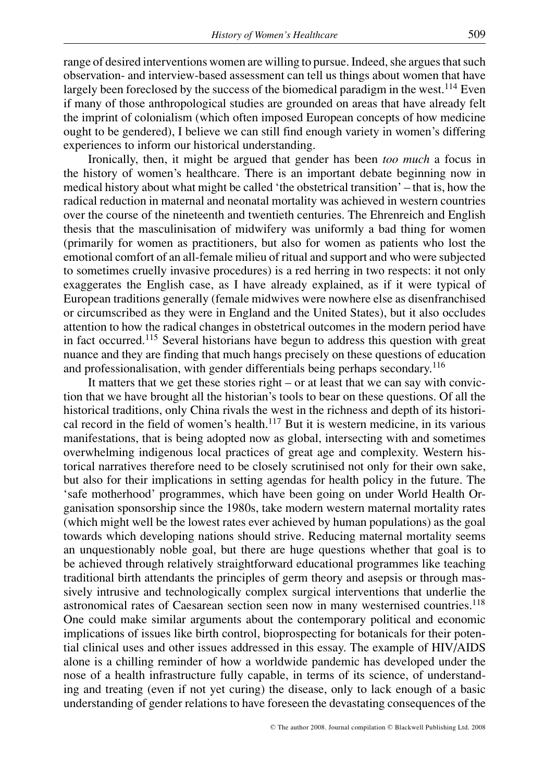range of desired interventions women are willing to pursue. Indeed, she argues that such observation- and interview-based assessment can tell us things about women that have largely been foreclosed by the success of the biomedical paradigm in the west.<sup>114</sup> Even if many of those anthropological studies are grounded on areas that have already felt the imprint of colonialism (which often imposed European concepts of how medicine ought to be gendered), I believe we can still find enough variety in women's differing experiences to inform our historical understanding.

Ironically, then, it might be argued that gender has been *too much* a focus in the history of women's healthcare. There is an important debate beginning now in medical history about what might be called 'the obstetrical transition' – that is, how the radical reduction in maternal and neonatal mortality was achieved in western countries over the course of the nineteenth and twentieth centuries. The Ehrenreich and English thesis that the masculinisation of midwifery was uniformly a bad thing for women (primarily for women as practitioners, but also for women as patients who lost the emotional comfort of an all-female milieu of ritual and support and who were subjected to sometimes cruelly invasive procedures) is a red herring in two respects: it not only exaggerates the English case, as I have already explained, as if it were typical of European traditions generally (female midwives were nowhere else as disenfranchised or circumscribed as they were in England and the United States), but it also occludes attention to how the radical changes in obstetrical outcomes in the modern period have in fact occurred.115 Several historians have begun to address this question with great nuance and they are finding that much hangs precisely on these questions of education and professionalisation, with gender differentials being perhaps secondary.<sup>116</sup>

It matters that we get these stories right – or at least that we can say with conviction that we have brought all the historian's tools to bear on these questions. Of all the historical traditions, only China rivals the west in the richness and depth of its historical record in the field of women's health.<sup>117</sup> But it is western medicine, in its various manifestations, that is being adopted now as global, intersecting with and sometimes overwhelming indigenous local practices of great age and complexity. Western historical narratives therefore need to be closely scrutinised not only for their own sake, but also for their implications in setting agendas for health policy in the future. The 'safe motherhood' programmes, which have been going on under World Health Organisation sponsorship since the 1980s, take modern western maternal mortality rates (which might well be the lowest rates ever achieved by human populations) as the goal towards which developing nations should strive. Reducing maternal mortality seems an unquestionably noble goal, but there are huge questions whether that goal is to be achieved through relatively straightforward educational programmes like teaching traditional birth attendants the principles of germ theory and asepsis or through massively intrusive and technologically complex surgical interventions that underlie the astronomical rates of Caesarean section seen now in many westernised countries.<sup>118</sup> One could make similar arguments about the contemporary political and economic implications of issues like birth control, bioprospecting for botanicals for their potential clinical uses and other issues addressed in this essay. The example of HIV/AIDS alone is a chilling reminder of how a worldwide pandemic has developed under the nose of a health infrastructure fully capable, in terms of its science, of understanding and treating (even if not yet curing) the disease, only to lack enough of a basic understanding of gender relations to have foreseen the devastating consequences of the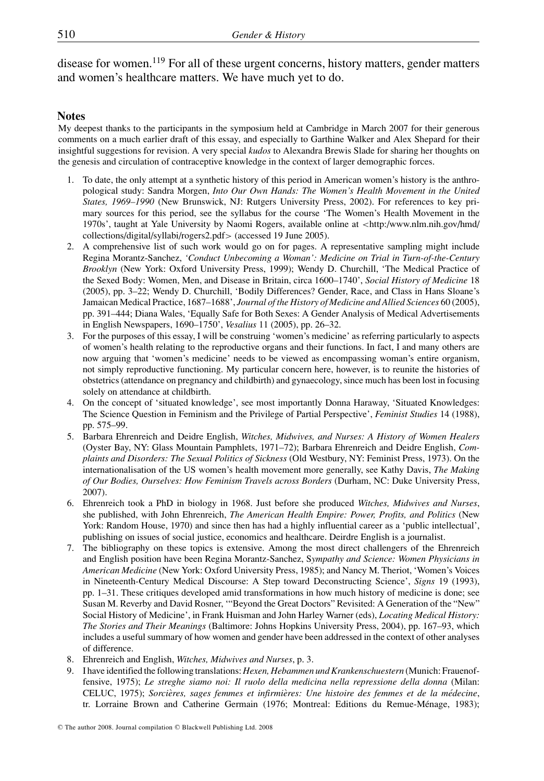disease for women.<sup>119</sup> For all of these urgent concerns, history matters, gender matters and women's healthcare matters. We have much yet to do.

#### **Notes**

My deepest thanks to the participants in the symposium held at Cambridge in March 2007 for their generous comments on a much earlier draft of this essay, and especially to Garthine Walker and Alex Shepard for their insightful suggestions for revision. A very special *kudos* to Alexandra Brewis Slade for sharing her thoughts on the genesis and circulation of contraceptive knowledge in the context of larger demographic forces.

- 1. To date, the only attempt at a synthetic history of this period in American women's history is the anthropological study: Sandra Morgen, *Into Our Own Hands: The Women's Health Movement in the United States, 1969–1990* (New Brunswick, NJ: Rutgers University Press, 2002). For references to key primary sources for this period, see the syllabus for the course 'The Women's Health Movement in the 1970s', taught at Yale University by Naomi Rogers, available online at <http:/www.nlm.nih.gov/hmd/ collections/digital/syllabi/rogers2.pdf> (accessed 19 June 2005).
- 2. A comprehensive list of such work would go on for pages. A representative sampling might include Regina Morantz-Sanchez, *'Conduct Unbecoming a Woman': Medicine on Trial in Turn-of-the-Century Brooklyn* (New York: Oxford University Press, 1999); Wendy D. Churchill, 'The Medical Practice of the Sexed Body: Women, Men, and Disease in Britain, circa 1600–1740', *Social History of Medicine* 18 (2005), pp. 3–22; Wendy D. Churchill, 'Bodily Differences? Gender, Race, and Class in Hans Sloane's Jamaican Medical Practice, 1687–1688', *Journal of the History of Medicine and Allied Sciences* 60 (2005), pp. 391–444; Diana Wales, 'Equally Safe for Both Sexes: A Gender Analysis of Medical Advertisements in English Newspapers, 1690–1750', *Vesalius* 11 (2005), pp. 26–32.
- 3. For the purposes of this essay, I will be construing 'women's medicine' as referring particularly to aspects of women's health relating to the reproductive organs and their functions. In fact, I and many others are now arguing that 'women's medicine' needs to be viewed as encompassing woman's entire organism, not simply reproductive functioning. My particular concern here, however, is to reunite the histories of obstetrics (attendance on pregnancy and childbirth) and gynaecology, since much has been lost in focusing solely on attendance at childbirth.
- 4. On the concept of 'situated knowledge', see most importantly Donna Haraway, 'Situated Knowledges: The Science Question in Feminism and the Privilege of Partial Perspective', *Feminist Studies* 14 (1988), pp. 575–99.
- 5. Barbara Ehrenreich and Deidre English, *Witches, Midwives, and Nurses: A History of Women Healers* (Oyster Bay, NY: Glass Mountain Pamphlets, 1971–72); Barbara Ehrenreich and Deidre English, *Complaints and Disorders: The Sexual Politics of Sickness* (Old Westbury, NY: Feminist Press, 1973). On the internationalisation of the US women's health movement more generally, see Kathy Davis, *The Making of Our Bodies, Ourselves: How Feminism Travels across Borders* (Durham, NC: Duke University Press, 2007).
- 6. Ehrenreich took a PhD in biology in 1968. Just before she produced *Witches, Midwives and Nurses*, she published, with John Ehrenreich, *The American Health Empire: Power, Profits, and Politics* (New York: Random House, 1970) and since then has had a highly influential career as a 'public intellectual', publishing on issues of social justice, economics and healthcare. Deirdre English is a journalist.
- 7. The bibliography on these topics is extensive. Among the most direct challengers of the Ehrenreich and English position have been Regina Morantz-Sanchez, S*ympathy and Science: Women Physicians in American Medicine* (New York: Oxford University Press, 1985); and Nancy M. Theriot, 'Women's Voices in Nineteenth-Century Medical Discourse: A Step toward Deconstructing Science', *Signs* 19 (1993), pp. 1–31. These critiques developed amid transformations in how much history of medicine is done; see Susan M. Reverby and David Rosner, '"Beyond the Great Doctors" Revisited: A Generation of the "New" Social History of Medicine', in Frank Huisman and John Harley Warner (eds), *Locating Medical History: The Stories and Their Meanings* (Baltimore: Johns Hopkins University Press, 2004), pp. 167–93, which includes a useful summary of how women and gender have been addressed in the context of other analyses of difference.
- 8. Ehrenreich and English, *Witches, Midwives and Nurses*, p. 3.
- 9. I have identified the following translations: *Hexen, Hebammen und Krankenschuestern* (Munich: Frauenoffensive, 1975); *Le streghe siamo noi: Il ruolo della medicina nella repressione della donna* (Milan: CELUC, 1975); *Sorcieres, sages femmes et infirmi ` eres: Une histoire des femmes et de la m ` edecine ´* , tr. Lorraine Brown and Catherine Germain (1976; Montreal: Editions du Remue-Ménage, 1983);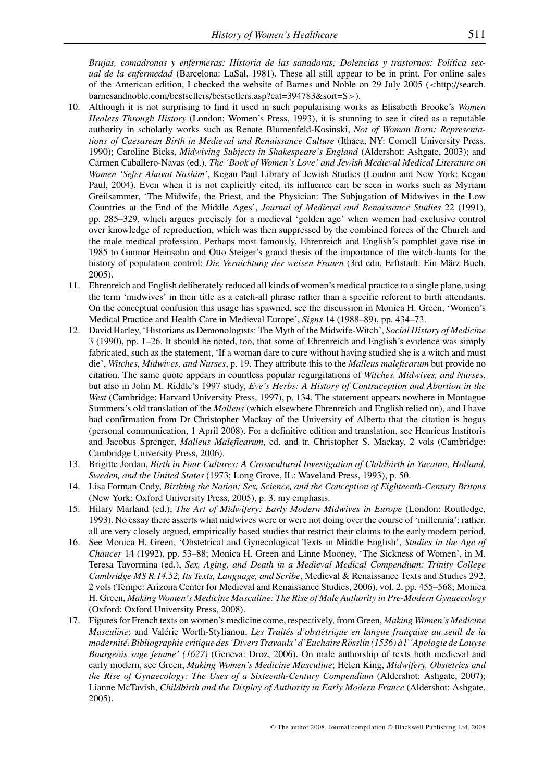Brujas, comadronas y enfermeras: Historia de las sanadoras; Dolencias y trastornos: Política sex*ual de la enfermedad* (Barcelona: LaSal, 1981). These all still appear to be in print. For online sales of the American edition, I checked the website of Barnes and Noble on 29 July 2005 (<http://search. barnesandnoble.com/bestsellers/bestsellers.asp?cat=394783&sort=S>).

- 10. Although it is not surprising to find it used in such popularising works as Elisabeth Brooke's *Women Healers Through History* (London: Women's Press, 1993), it is stunning to see it cited as a reputable authority in scholarly works such as Renate Blumenfeld-Kosinski, *Not of Woman Born: Representations of Caesarean Birth in Medieval and Renaissance Culture* (Ithaca, NY: Cornell University Press, 1990); Caroline Bicks, *Midwiving Subjects in Shakespeare's England* (Aldershot: Ashgate, 2003); and Carmen Caballero-Navas (ed.), *The 'Book of Women's Love' and Jewish Medieval Medical Literature on Women 'Sefer Ahavat Nashim'*, Kegan Paul Library of Jewish Studies (London and New York: Kegan Paul, 2004). Even when it is not explicitly cited, its influence can be seen in works such as Myriam Greilsammer, 'The Midwife, the Priest, and the Physician: The Subjugation of Midwives in the Low Countries at the End of the Middle Ages', *Journal of Medieval and Renaissance Studies* 22 (1991), pp. 285–329, which argues precisely for a medieval 'golden age' when women had exclusive control over knowledge of reproduction, which was then suppressed by the combined forces of the Church and the male medical profession. Perhaps most famously, Ehrenreich and English's pamphlet gave rise in 1985 to Gunnar Heinsohn and Otto Steiger's grand thesis of the importance of the witch-hunts for the history of population control: *Die Vernichtung der weisen Frauen* (3rd edn, Erftstadt: Ein März Buch, 2005).
- 11. Ehrenreich and English deliberately reduced all kinds of women's medical practice to a single plane, using the term 'midwives' in their title as a catch-all phrase rather than a specific referent to birth attendants. On the conceptual confusion this usage has spawned, see the discussion in Monica H. Green, 'Women's Medical Practice and Health Care in Medieval Europe', *Signs* 14 (1988–89), pp. 434–73.
- 12. David Harley, 'Historians as Demonologists: The Myth of the Midwife-Witch', *Social History of Medicine* 3 (1990), pp. 1–26. It should be noted, too, that some of Ehrenreich and English's evidence was simply fabricated, such as the statement, 'If a woman dare to cure without having studied she is a witch and must die', *Witches, Midwives, and Nurses*, p. 19. They attribute this to the *Malleus maleficarum* but provide no citation. The same quote appears in countless popular regurgitations of *Witches, Midwives, and Nurses*, but also in John M. Riddle's 1997 study, *Eve's Herbs: A History of Contraception and Abortion in the West* (Cambridge: Harvard University Press, 1997), p. 134. The statement appears nowhere in Montague Summers's old translation of the *Malleus* (which elsewhere Ehrenreich and English relied on), and I have had confirmation from Dr Christopher Mackay of the University of Alberta that the citation is bogus (personal communication, 1 April 2008). For a definitive edition and translation, see Henricus Institoris and Jacobus Sprenger, *Malleus Maleficarum*, ed. and tr. Christopher S. Mackay, 2 vols (Cambridge: Cambridge University Press, 2006).
- 13. Brigitte Jordan, *Birth in Four Cultures: A Crosscultural Investigation of Childbirth in Yucatan, Holland, Sweden, and the United States* (1973; Long Grove, IL: Waveland Press, 1993), p. 50.
- 14. Lisa Forman Cody, *Birthing the Nation: Sex, Science, and the Conception of Eighteenth-Century Britons* (New York: Oxford University Press, 2005), p. 3. my emphasis.
- 15. Hilary Marland (ed.), *The Art of Midwifery: Early Modern Midwives in Europe* (London: Routledge, 1993). No essay there asserts what midwives were or were not doing over the course of 'millennia'; rather, all are very closely argued, empirically based studies that restrict their claims to the early modern period.
- 16. See Monica H. Green, 'Obstetrical and Gynecological Texts in Middle English', *Studies in the Age of Chaucer* 14 (1992), pp. 53–88; Monica H. Green and Linne Mooney, 'The Sickness of Women', in M. Teresa Tavormina (ed.), *Sex, Aging, and Death in a Medieval Medical Compendium: Trinity College Cambridge MS R.14.52, Its Texts, Language, and Scribe*, Medieval & Renaissance Texts and Studies 292, 2 vols (Tempe: Arizona Center for Medieval and Renaissance Studies, 2006), vol. 2, pp. 455–568; Monica H. Green, *Making Women's Medicine Masculine: The Rise of Male Authority in Pre-Modern Gynaecology* (Oxford: Oxford University Press, 2008).
- 17. Figures for French texts on women's medicine come, respectively, from Green, *Making Women's Medicine Masculine*; and Valérie Worth-Stylianou, *Les Traités d'obstétrique en langue française au seuil de la modernite. Bibliographie critique des 'Divers Travaulx' d'Euchaire R ´ osslin (1536) ¨ a l''Apologie de Louyse ` Bourgeois sage femme' (1627)* (Geneva: Droz, 2006). On male authorship of texts both medieval and early modern, see Green, *Making Women's Medicine Masculine*; Helen King, *Midwifery, Obstetrics and the Rise of Gynaecology: The Uses of a Sixteenth-Century Compendium* (Aldershot: Ashgate, 2007); Lianne McTavish, *Childbirth and the Display of Authority in Early Modern France* (Aldershot: Ashgate, 2005).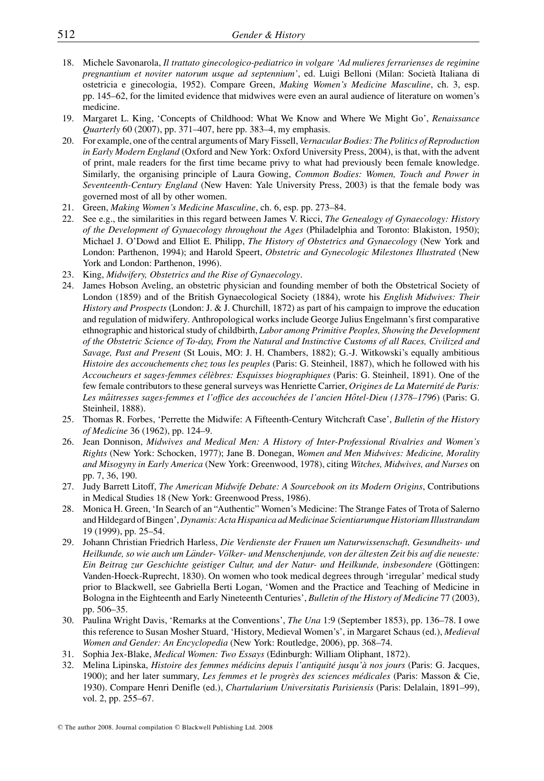- 18. Michele Savonarola, *Il trattato ginecologico-pediatrico in volgare 'Ad mulieres ferrarienses de regimine pregnantium et noviter natorum usque ad septennium'*, ed. Luigi Belloni (Milan: Società Italiana di ostetricia e ginecologia, 1952). Compare Green, *Making Women's Medicine Masculine*, ch. 3, esp. pp. 145–62, for the limited evidence that midwives were even an aural audience of literature on women's medicine.
- 19. Margaret L. King, 'Concepts of Childhood: What We Know and Where We Might Go', *Renaissance Quarterly* 60 (2007), pp. 371–407, here pp. 383–4, my emphasis.
- 20. For example, one of the central arguments of Mary Fissell, *Vernacular Bodies: The Politics of Reproduction in Early Modern England* (Oxford and New York: Oxford University Press, 2004), is that, with the advent of print, male readers for the first time became privy to what had previously been female knowledge. Similarly, the organising principle of Laura Gowing, *Common Bodies: Women, Touch and Power in Seventeenth-Century England* (New Haven: Yale University Press, 2003) is that the female body was governed most of all by other women.
- 21. Green, *Making Women's Medicine Masculine*, ch. 6, esp. pp. 273–84.
- 22. See e.g., the similarities in this regard between James V. Ricci, *The Genealogy of Gynaecology: History of the Development of Gynaecology throughout the Ages* (Philadelphia and Toronto: Blakiston, 1950); Michael J. O'Dowd and Elliot E. Philipp, *The History of Obstetrics and Gynaecology* (New York and London: Parthenon, 1994); and Harold Speert, *Obstetric and Gynecologic Milestones Illustrated* (New York and London: Parthenon, 1996).
- 23. King, *Midwifery, Obstetrics and the Rise of Gynaecology*.
- 24. James Hobson Aveling, an obstetric physician and founding member of both the Obstetrical Society of London (1859) and of the British Gynaecological Society (1884), wrote his *English Midwives: Their History and Prospects* (London: J. & J. Churchill, 1872) as part of his campaign to improve the education and regulation of midwifery. Anthropological works include George Julius Engelmann's first comparative ethnographic and historical study of childbirth, *Labor among Primitive Peoples, Showing the Development of the Obstetric Science of To-day, From the Natural and Instinctive Customs of all Races, Civilized and Savage, Past and Present* (St Louis, MO: J. H. Chambers, 1882); G.-J. Witkowski's equally ambitious *Histoire des accouchements chez tous les peuples* (Paris: G. Steinheil, 1887), which he followed with his Accoucheurs et sages-femmes célèbres: Esquisses biographiques (Paris: G. Steinheil, 1891). One of the few female contributors to these general surveys was Henriette Carrier, *Origines de La Maternite de Paris: ´ Les mâitresses sages-femmes et l'office des accouchées de l'ancien Hôtel-Dieu (1378–1796)* (Paris: G. Steinheil, 1888).
- 25. Thomas R. Forbes, 'Perrette the Midwife: A Fifteenth-Century Witchcraft Case', *Bulletin of the History of Medicine* 36 (1962), pp. 124–9.
- 26. Jean Donnison, *Midwives and Medical Men: A History of Inter-Professional Rivalries and Women's Rights* (New York: Schocken, 1977); Jane B. Donegan, *Women and Men Midwives: Medicine, Morality and Misogyny in Early America* (New York: Greenwood, 1978), citing *Witches, Midwives, and Nurses* on pp. 7, 36, 190.
- 27. Judy Barrett Litoff, *The American Midwife Debate: A Sourcebook on its Modern Origins*, Contributions in Medical Studies 18 (New York: Greenwood Press, 1986).
- 28. Monica H. Green, 'In Search of an "Authentic" Women's Medicine: The Strange Fates of Trota of Salerno and Hildegard of Bingen',*Dynamis: Acta Hispanica ad Medicinae Scientiarumque Historiam Illustrandam* 19 (1999), pp. 25–54.
- 29. Johann Christian Friedrich Harless, *Die Verdienste der Frauen um Naturwissenschaft, Gesundheits- und Heilkunde, so wie auch um Lander- V ¨ olker- und Menschenjunde, von der ¨ altesten Zeit bis auf die neueste: ¨* Ein Beitrag zur Geschichte geistiger Cultur, und der Natur- und Heilkunde, insbesondere (Göttingen: Vanden-Hoeck-Ruprecht, 1830). On women who took medical degrees through 'irregular' medical study prior to Blackwell, see Gabriella Berti Logan, 'Women and the Practice and Teaching of Medicine in Bologna in the Eighteenth and Early Nineteenth Centuries', *Bulletin of the History of Medicine* 77 (2003), pp. 506–35.
- 30. Paulina Wright Davis, 'Remarks at the Conventions', *The Una* 1:9 (September 1853), pp. 136–78. I owe this reference to Susan Mosher Stuard, 'History, Medieval Women's', in Margaret Schaus (ed.), *Medieval Women and Gender: An Encyclopedia* (New York: Routledge, 2006), pp. 368–74.
- 31. Sophia Jex-Blake, *Medical Women: Two Essays* (Edinburgh: William Oliphant, 1872).
- 32. Melina Lipinska, *Histoire des femmes medicins depuis l'antiquit ´ e jusqu' ´ a nos jours `* (Paris: G. Jacques, 1900); and her later summary, *Les femmes et le progrès des sciences médicales* (Paris: Masson & Cie, 1930). Compare Henri Denifle (ed.), *Chartularium Universitatis Parisiensis* (Paris: Delalain, 1891–99), vol. 2, pp. 255–67.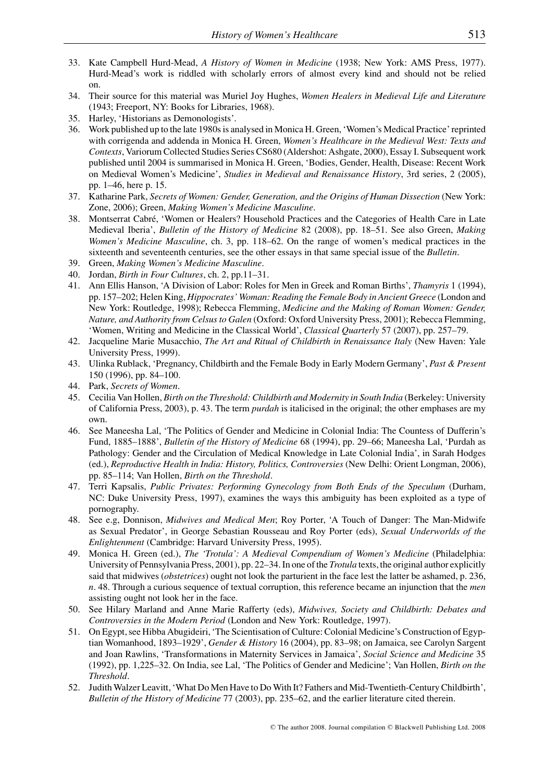- 33. Kate Campbell Hurd-Mead, *A History of Women in Medicine* (1938; New York: AMS Press, 1977). Hurd-Mead's work is riddled with scholarly errors of almost every kind and should not be relied on.
- 34. Their source for this material was Muriel Joy Hughes, *Women Healers in Medieval Life and Literature* (1943; Freeport, NY: Books for Libraries, 1968).
- 35. Harley, 'Historians as Demonologists'.
- 36. Work published up to the late 1980s is analysed in Monica H. Green, 'Women's Medical Practice' reprinted with corrigenda and addenda in Monica H. Green, *Women's Healthcare in the Medieval West: Texts and Contexts*, Variorum Collected Studies Series CS680 (Aldershot: Ashgate, 2000), Essay I. Subsequent work published until 2004 is summarised in Monica H. Green, 'Bodies, Gender, Health, Disease: Recent Work on Medieval Women's Medicine', *Studies in Medieval and Renaissance History*, 3rd series, 2 (2005), pp. 1–46, here p. 15.
- 37. Katharine Park, *Secrets of Women: Gender, Generation, and the Origins of Human Dissection* (New York: Zone, 2006); Green, *Making Women's Medicine Masculine*.
- 38. Montserrat Cabré, 'Women or Healers? Household Practices and the Categories of Health Care in Late Medieval Iberia', *Bulletin of the History of Medicine* 82 (2008), pp. 18–51. See also Green, *Making Women's Medicine Masculine*, ch. 3, pp. 118–62. On the range of women's medical practices in the sixteenth and seventeenth centuries, see the other essays in that same special issue of the *Bulletin*.
- 39. Green, *Making Women's Medicine Masculine*.
- 40. Jordan, *Birth in Four Cultures*, ch. 2, pp.11–31.
- 41. Ann Ellis Hanson, 'A Division of Labor: Roles for Men in Greek and Roman Births', *Thamyris* 1 (1994), pp. 157–202; Helen King, *Hippocrates' Woman: Reading the Female Body in Ancient Greece* (London and New York: Routledge, 1998); Rebecca Flemming, *Medicine and the Making of Roman Women: Gender, Nature, and Authority from Celsus to Galen* (Oxford: Oxford University Press, 2001); Rebecca Flemming, 'Women, Writing and Medicine in the Classical World', *Classical Quarterly* 57 (2007), pp. 257–79.
- 42. Jacqueline Marie Musacchio, *The Art and Ritual of Childbirth in Renaissance Italy* (New Haven: Yale University Press, 1999).
- 43. Ulinka Rublack, 'Pregnancy, Childbirth and the Female Body in Early Modern Germany', *Past & Present* 150 (1996), pp. 84–100.
- 44. Park, *Secrets of Women*.
- 45. Cecilia Van Hollen, *Birth on the Threshold: Childbirth and Modernity in South India* (Berkeley: University of California Press, 2003), p. 43. The term *purdah* is italicised in the original; the other emphases are my own.
- 46. See Maneesha Lal, 'The Politics of Gender and Medicine in Colonial India: The Countess of Dufferin's Fund, 1885–1888', *Bulletin of the History of Medicine* 68 (1994), pp. 29–66; Maneesha Lal, 'Purdah as Pathology: Gender and the Circulation of Medical Knowledge in Late Colonial India', in Sarah Hodges (ed.), *Reproductive Health in India: History, Politics, Controversies* (New Delhi: Orient Longman, 2006), pp. 85–114; Van Hollen, *Birth on the Threshold*.
- 47. Terri Kapsalis, *Public Privates: Performing Gynecology from Both Ends of the Speculum* (Durham, NC: Duke University Press, 1997), examines the ways this ambiguity has been exploited as a type of pornography.
- 48. See e.g, Donnison, *Midwives and Medical Men*; Roy Porter, 'A Touch of Danger: The Man-Midwife as Sexual Predator', in George Sebastian Rousseau and Roy Porter (eds), *Sexual Underworlds of the Enlightenment* (Cambridge: Harvard University Press, 1995).
- 49. Monica H. Green (ed.), *The 'Trotula': A Medieval Compendium of Women's Medicine* (Philadelphia: University of Pennsylvania Press, 2001), pp. 22–34. In one of the *Trotula* texts, the original author explicitly said that midwives (*obstetrices*) ought not look the parturient in the face lest the latter be ashamed, p. 236, *n*. 48. Through a curious sequence of textual corruption, this reference became an injunction that the *men* assisting ought not look her in the face.
- 50. See Hilary Marland and Anne Marie Rafferty (eds), *Midwives, Society and Childbirth: Debates and Controversies in the Modern Period* (London and New York: Routledge, 1997).
- 51. On Egypt, see Hibba Abugideiri, 'The Scientisation of Culture: Colonial Medicine's Construction of Egyptian Womanhood, 1893–1929', *Gender & History* 16 (2004), pp. 83–98; on Jamaica, see Carolyn Sargent and Joan Rawlins, 'Transformations in Maternity Services in Jamaica', *Social Science and Medicine* 35 (1992), pp. 1,225–32. On India, see Lal, 'The Politics of Gender and Medicine'; Van Hollen, *Birth on the Threshold*.
- 52. Judith Walzer Leavitt, 'What Do Men Have to Do With It? Fathers and Mid-Twentieth-Century Childbirth', *Bulletin of the History of Medicine* 77 (2003), pp. 235–62, and the earlier literature cited therein.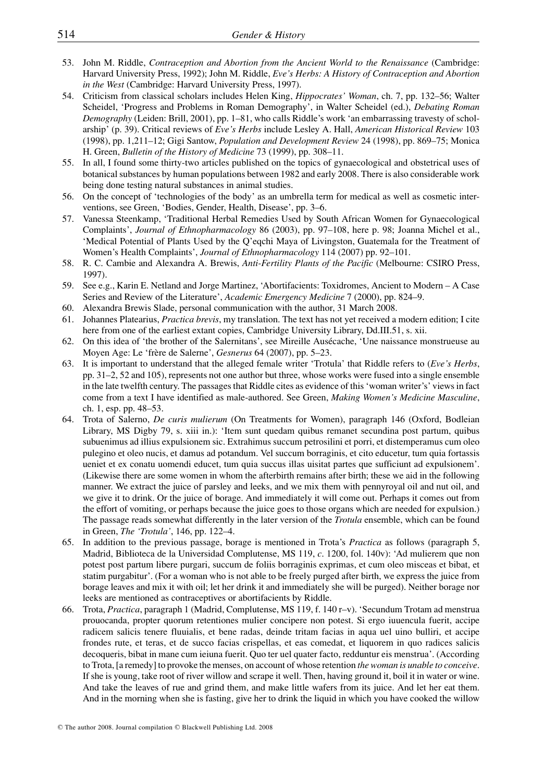- 53. John M. Riddle, *Contraception and Abortion from the Ancient World to the Renaissance* (Cambridge: Harvard University Press, 1992); John M. Riddle, *Eve's Herbs: A History of Contraception and Abortion in the West* (Cambridge: Harvard University Press, 1997).
- 54. Criticism from classical scholars includes Helen King, *Hippocrates' Woman*, ch. 7, pp. 132–56; Walter Scheidel, 'Progress and Problems in Roman Demography', in Walter Scheidel (ed.), *Debating Roman Demography* (Leiden: Brill, 2001), pp. 1–81, who calls Riddle's work 'an embarrassing travesty of scholarship' (p. 39). Critical reviews of *Eve's Herbs* include Lesley A. Hall, *American Historical Review* 103 (1998), pp. 1,211–12; Gigi Santow, *Population and Development Review* 24 (1998), pp. 869–75; Monica H. Green, *Bulletin of the History of Medicine* 73 (1999), pp. 308–11.
- 55. In all, I found some thirty-two articles published on the topics of gynaecological and obstetrical uses of botanical substances by human populations between 1982 and early 2008. There is also considerable work being done testing natural substances in animal studies.
- 56. On the concept of 'technologies of the body' as an umbrella term for medical as well as cosmetic interventions, see Green, 'Bodies, Gender, Health, Disease', pp. 3–6.
- 57. Vanessa Steenkamp, 'Traditional Herbal Remedies Used by South African Women for Gynaecological Complaints', *Journal of Ethnopharmacology* 86 (2003), pp. 97–108, here p. 98; Joanna Michel et al., 'Medical Potential of Plants Used by the Q'eqchi Maya of Livingston, Guatemala for the Treatment of Women's Health Complaints', *Journal of Ethnopharmacology* 114 (2007) pp. 92–101.
- 58. R. C. Cambie and Alexandra A. Brewis, *Anti-Fertility Plants of the Pacific* (Melbourne: CSIRO Press, 1997).
- 59. See e.g., Karin E. Netland and Jorge Martinez, 'Abortifacients: Toxidromes, Ancient to Modern A Case Series and Review of the Literature', *Academic Emergency Medicine* 7 (2000), pp. 824–9.
- 60. Alexandra Brewis Slade, personal communication with the author, 31 March 2008.
- 61. Johannes Platearius, *Practica brevis*, my translation. The text has not yet received a modern edition; I cite here from one of the earliest extant copies, Cambridge University Library, Dd.III.51, s. xii.
- 62. On this idea of 'the brother of the Salernitans', see Mireille Ausécache, 'Une naissance monstrueuse au Moyen Age: Le 'frère de Salerne', *Gesnerus* 64 (2007), pp. 5-23.
- 63. It is important to understand that the alleged female writer 'Trotula' that Riddle refers to (*Eve's Herbs*, pp. 31–2, 52 and 105), represents not one author but three, whose works were fused into a single ensemble in the late twelfth century. The passages that Riddle cites as evidence of this 'woman writer's' views in fact come from a text I have identified as male-authored. See Green, *Making Women's Medicine Masculine*, ch. 1, esp. pp. 48–53.
- 64. Trota of Salerno, *De curis mulierum* (On Treatments for Women), paragraph 146 (Oxford, Bodleian Library, MS Digby 79, s. xiii in.): 'Item sunt quedam quibus remanet secundina post partum, quibus subuenimus ad illius expulsionem sic. Extrahimus succum petrosilini et porri, et distemperamus cum oleo pulegino et oleo nucis, et damus ad potandum. Vel succum borraginis, et cito educetur, tum quia fortassis ueniet et ex conatu uomendi educet, tum quia succus illas uisitat partes que sufficiunt ad expulsionem'. (Likewise there are some women in whom the afterbirth remains after birth; these we aid in the following manner. We extract the juice of parsley and leeks, and we mix them with pennyroyal oil and nut oil, and we give it to drink. Or the juice of borage. And immediately it will come out. Perhaps it comes out from the effort of vomiting, or perhaps because the juice goes to those organs which are needed for expulsion.) The passage reads somewhat differently in the later version of the *Trotula* ensemble, which can be found in Green, *The 'Trotula'*, 146, pp. 122–4.
- 65. In addition to the previous passage, borage is mentioned in Trota's *Practica* as follows (paragraph 5, Madrid, Biblioteca de la Universidad Complutense, MS 119, *c*. 1200, fol. 140v): 'Ad mulierem que non potest post partum libere purgari, succum de foliis borraginis exprimas, et cum oleo misceas et bibat, et statim purgabitur'. (For a woman who is not able to be freely purged after birth, we express the juice from borage leaves and mix it with oil; let her drink it and immediately she will be purged). Neither borage nor leeks are mentioned as contraceptives or abortifacients by Riddle.
- 66. Trota, *Practica*, paragraph 1 (Madrid, Complutense, MS 119, f. 140 r–v). 'Secundum Trotam ad menstrua prouocanda, propter quorum retentiones mulier concipere non potest. Si ergo iuuencula fuerit, accipe radicem salicis tenere fluuialis, et bene radas, deinde tritam facias in aqua uel uino bulliri, et accipe frondes rute, et teras, et de succo facias crispellas, et eas comedat, et liquorem in quo radices salicis decoqueris, bibat in mane cum ieiuna fuerit. Quo ter uel quater facto, redduntur eis menstrua'. (According to Trota, [a remedy] to provoke the menses, on account of whose retention *the woman is unable to conceive*. If she is young, take root of river willow and scrape it well. Then, having ground it, boil it in water or wine. And take the leaves of rue and grind them, and make little wafers from its juice. And let her eat them. And in the morning when she is fasting, give her to drink the liquid in which you have cooked the willow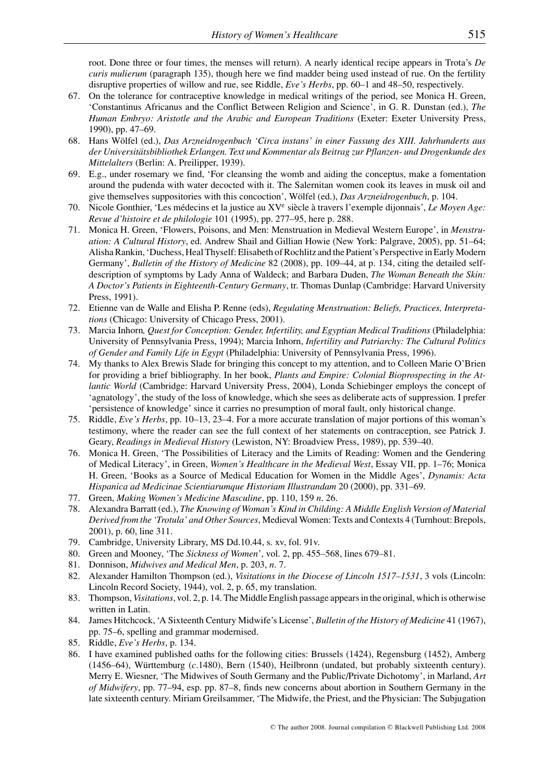root. Done three or four times, the menses will return). A nearly identical recipe appears in Trota's *De curis mulierum* (paragraph 135), though here we find madder being used instead of rue. On the fertility disruptive properties of willow and rue, see Riddle, *Eve's Herbs*, pp. 60–1 and 48–50, respectively.

- 67. On the tolerance for contraceptive knowledge in medical writings of the period, see Monica H. Green, 'Constantinus Africanus and the Conflict Between Religion and Science', in G. R. Dunstan (ed.), *The Human Embryo: Aristotle and the Arabic and European Traditions* (Exeter: Exeter University Press, 1990), pp. 47–69.
- 68. Hans W¨olfel (ed.), *Das Arzneidrogenbuch 'Circa instans' in einer Fassung des XIII. Jahrhunderts aus der Universitatsbibliothek Erlangen. Text und Kommentar als Beitrag zur Pflanzen- und Drogenkunde des ¨ Mittelalters* (Berlin: A. Preilipper, 1939).
- 69. E.g., under rosemary we find, 'For cleansing the womb and aiding the conceptus, make a fomentation around the pudenda with water decocted with it. The Salernitan women cook its leaves in musk oil and give themselves suppositories with this concoction', Wölfel (ed.), *Das Arzneidrogenbuch*, p. 104.
- 70. Nicole Gonthier, 'Les médecins et la justice au XV<sup>e</sup> siècle à travers l'exemple dijonnais', *Le Moyen Age: Revue d'histoire et de philologie* 101 (1995), pp. 277–95, here p. 288.
- 71. Monica H. Green, 'Flowers, Poisons, and Men: Menstruation in Medieval Western Europe', in *Menstruation: A Cultural History*, ed. Andrew Shail and Gillian Howie (New York: Palgrave, 2005), pp. 51–64; Alisha Rankin, 'Duchess, Heal Thyself: Elisabeth of Rochlitz and the Patient's Perspective in Early Modern Germany', *Bulletin of the History of Medicine* 82 (2008), pp. 109–44, at p. 134, citing the detailed selfdescription of symptoms by Lady Anna of Waldeck; and Barbara Duden, *The Woman Beneath the Skin: A Doctor's Patients in Eighteenth-Century Germany*, tr. Thomas Dunlap (Cambridge: Harvard University Press, 1991).
- 72. Etienne van de Walle and Elisha P. Renne (eds), *Regulating Menstruation: Beliefs, Practices, Interpretations* (Chicago: University of Chicago Press, 2001).
- 73. Marcia Inhorn*, Quest for Conception: Gender, Infertility, and Egyptian Medical Traditions* (Philadelphia: University of Pennsylvania Press, 1994); Marcia Inhorn, *Infertility and Patriarchy: The Cultural Politics of Gender and Family Life in Egypt* (Philadelphia: University of Pennsylvania Press, 1996).
- 74. My thanks to Alex Brewis Slade for bringing this concept to my attention, and to Colleen Marie O'Brien for providing a brief bibliography. In her book, *Plants and Empire: Colonial Bioprospecting in the Atlantic World* (Cambridge: Harvard University Press, 2004), Londa Schiebinger employs the concept of 'agnatology', the study of the loss of knowledge, which she sees as deliberate acts of suppression. I prefer 'persistence of knowledge' since it carries no presumption of moral fault, only historical change.
- 75. Riddle, *Eve's Herbs*, pp. 10–13, 23–4. For a more accurate translation of major portions of this woman's testimony, where the reader can see the full context of her statements on contraception, see Patrick J. Geary, *Readings in Medieval History* (Lewiston, NY: Broadview Press, 1989), pp. 539–40.
- 76. Monica H. Green, 'The Possibilities of Literacy and the Limits of Reading: Women and the Gendering of Medical Literacy', in Green, *Women's Healthcare in the Medieval West*, Essay VII, pp. 1–76; Monica H. Green, 'Books as a Source of Medical Education for Women in the Middle Ages', *Dynamis: Acta Hispanica ad Medicinae Scientiarumque Historiam Illustrandam* 20 (2000), pp. 331–69.
- 77. Green, *Making Women's Medicine Masculine*, pp. 110, 159 *n*. 26.
- 78. Alexandra Barratt (ed.), *The Knowing of Woman's Kind in Childing: A Middle English Version of Material Derived from the 'Trotula' and Other Sources*, Medieval Women: Texts and Contexts 4 (Turnhout: Brepols, 2001), p. 60, line 311.
- 79. Cambridge, University Library, MS Dd.10.44, s. xv, fol. 91v.
- 80. Green and Mooney, 'The *Sickness of Women*', vol. 2, pp. 455–568, lines 679–81.
- 81. Donnison, *Midwives and Medical Men*, p. 203, *n*. 7.
- 82. Alexander Hamilton Thompson (ed.), *Visitations in the Diocese of Lincoln 1517–1531*, 3 vols (Lincoln: Lincoln Record Society, 1944), vol. 2, p. 65, my translation.
- 83. Thompson, *Visitations*, vol. 2, p. 14. The Middle English passage appears in the original, which is otherwise written in Latin.
- 84. James Hitchcock, 'A Sixteenth Century Midwife's License', *Bulletin of the History of Medicine* 41 (1967), pp. 75–6, spelling and grammar modernised.
- 85. Riddle, *Eve's Herbs*, p. 134.
- 86. I have examined published oaths for the following cities: Brussels (1424), Regensburg (1452), Amberg (1456–64), W¨urttemburg (*c*.1480), Bern (1540), Heilbronn (undated, but probably sixteenth century). Merry E. Wiesner, 'The Midwives of South Germany and the Public/Private Dichotomy', in Marland, *Art of Midwifery*, pp. 77–94, esp. pp. 87–8, finds new concerns about abortion in Southern Germany in the late sixteenth century. Miriam Greilsammer, 'The Midwife, the Priest, and the Physician: The Subjugation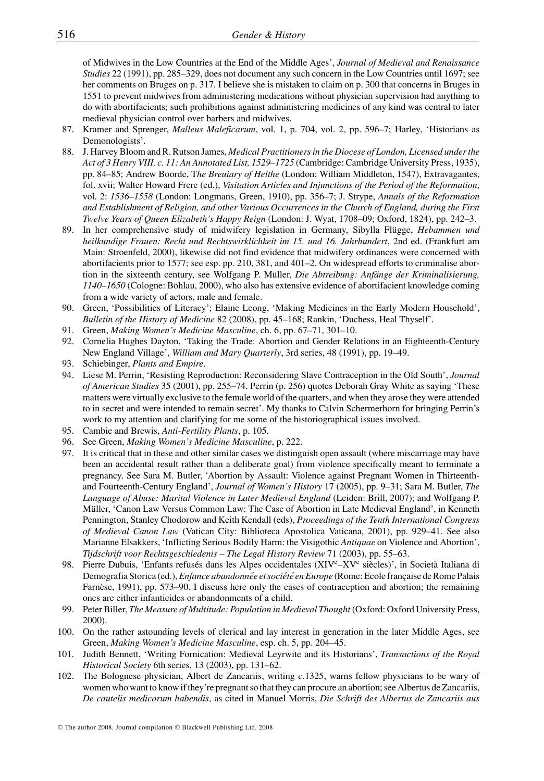of Midwives in the Low Countries at the End of the Middle Ages', *Journal of Medieval and Renaissance Studies* 22 (1991), pp. 285–329, does not document any such concern in the Low Countries until 1697; see her comments on Bruges on p. 317. I believe she is mistaken to claim on p. 300 that concerns in Bruges in 1551 to prevent midwives from administering medications without physician supervision had anything to do with abortifacients; such prohibitions against administering medicines of any kind was central to later medieval physician control over barbers and midwives.

- 87. Kramer and Sprenger, *Malleus Maleficarum*, vol. 1, p. 704, vol. 2, pp. 596–7; Harley, 'Historians as Demonologists'.
- 88. J. Harvey Bloom and R. Rutson James, *Medical Practitioners in the Diocese of London, Licensed under the Act of 3 Henry VIII, c. 11: An Annotated List, 1529–1725* (Cambridge: Cambridge University Press, 1935), pp. 84–85; Andrew Boorde, T*he Breuiary of Helthe* (London: William Middleton, 1547), Extravagantes, fol. xvii; Walter Howard Frere (ed.), *Visitation Articles and Injunctions of the Period of the Reformation*, vol. 2: *1536–1558* (London: Longmans, Green, 1910), pp. 356–7; J. Strype, *Annals of the Reformation and Establishment of Religion, and other Various Occurrences in the Church of England, during the First Twelve Years of Queen Elizabeth's Happy Reign* (London: J. Wyat, 1708–09; Oxford, 1824), pp. 242–3.
- 89. In her comprehensive study of midwifery legislation in Germany, Sibylla Flügge, *Hebammen und heilkundige Frauen: Recht und Rechtswirklichkeit im 15. und 16. Jahrhundert*, 2nd ed. (Frankfurt am Main: Stroenfeld, 2000), likewise did not find evidence that midwifery ordinances were concerned with abortifacients prior to 1577; see esp. pp. 210, 381, and 401–2. On widespread efforts to criminalise abortion in the sixteenth century, see Wolfgang P. Müller, *Die Abtreibung: Anfänge der Kriminalisierung*, *1140–1650* (Cologne: Böhlau, 2000), who also has extensive evidence of abortifacient knowledge coming from a wide variety of actors, male and female.
- 90. Green, 'Possibilities of Literacy'; Elaine Leong, 'Making Medicines in the Early Modern Household', *Bulletin of the History of Medicine* 82 (2008), pp. 45–168; Rankin, 'Duchess, Heal Thyself'.
- 91. Green, *Making Women's Medicine Masculine*, ch. 6, pp. 67–71, 301–10.
- 92. Cornelia Hughes Dayton, 'Taking the Trade: Abortion and Gender Relations in an Eighteenth-Century New England Village', *William and Mary Quarterly*, 3rd series, 48 (1991), pp. 19–49.
- 93. Schiebinger, *Plants and Empire*.
- 94. Liese M. Perrin, 'Resisting Reproduction: Reconsidering Slave Contraception in the Old South', *Journal of American Studies* 35 (2001), pp. 255–74. Perrin (p. 256) quotes Deborah Gray White as saying 'These matters were virtually exclusive to the female world of the quarters, and when they arose they were attended to in secret and were intended to remain secret'. My thanks to Calvin Schermerhorn for bringing Perrin's work to my attention and clarifying for me some of the historiographical issues involved.
- 95. Cambie and Brewis, *Anti-Fertility Plants*, p. 105.
- 96. See Green, *Making Women's Medicine Masculine*, p. 222.
- 97. It is critical that in these and other similar cases we distinguish open assault (where miscarriage may have been an accidental result rather than a deliberate goal) from violence specifically meant to terminate a pregnancy. See Sara M. Butler, 'Abortion by Assault: Violence against Pregnant Women in Thirteenthand Fourteenth-Century England', *Journal of Women's History* 17 (2005), pp. 9–31; Sara M. Butler, *The Language of Abuse: Marital Violence in Later Medieval England* (Leiden: Brill, 2007); and Wolfgang P. Müller, 'Canon Law Versus Common Law: The Case of Abortion in Late Medieval England', in Kenneth Pennington, Stanley Chodorow and Keith Kendall (eds), *Proceedings of the Tenth International Congress of Medieval Canon Law* (Vatican City: Biblioteca Apostolica Vaticana, 2001), pp. 929–41. See also Marianne Elsakkers, 'Inflicting Serious Bodily Harm: the Visigothic *Antiquae* on Violence and Abortion', *Tijdschrift voor Rechtsgeschiedenis* – *The Legal History Review* 71 (2003), pp. 55–63.
- 98. Pierre Dubuis, 'Enfants refusés dans les Alpes occidentales ( $XIV^e$ – $XV^e$  siècles)', in Società Italiana di Demografia Storica (ed.), *Enfance abandonnée et société en Europe* (Rome: Ecole française de Rome Palais Farnèse, 1991), pp. 573–90. I discuss here only the cases of contraception and abortion; the remaining ones are either infanticides or abandonments of a child.
- 99. Peter Biller, *The Measure of Multitude: Population in Medieval Thought* (Oxford: Oxford University Press, 2000).
- 100. On the rather astounding levels of clerical and lay interest in generation in the later Middle Ages, see Green, *Making Women's Medicine Masculine*, esp. ch. 5, pp. 204–45.
- 101. Judith Bennett, 'Writing Fornication: Medieval Leyrwite and its Historians', *Transactions of the Royal Historical Society* 6th series, 13 (2003), pp. 131–62.
- 102. The Bolognese physician, Albert de Zancariis, writing *c.*1325, warns fellow physicians to be wary of women who want to know if they're pregnant so that they can procure an abortion; see Albertus de Zancariis, *De cautelis medicorum habendis*, as cited in Manuel Morris, *Die Schrift des Albertus de Zancariis aus*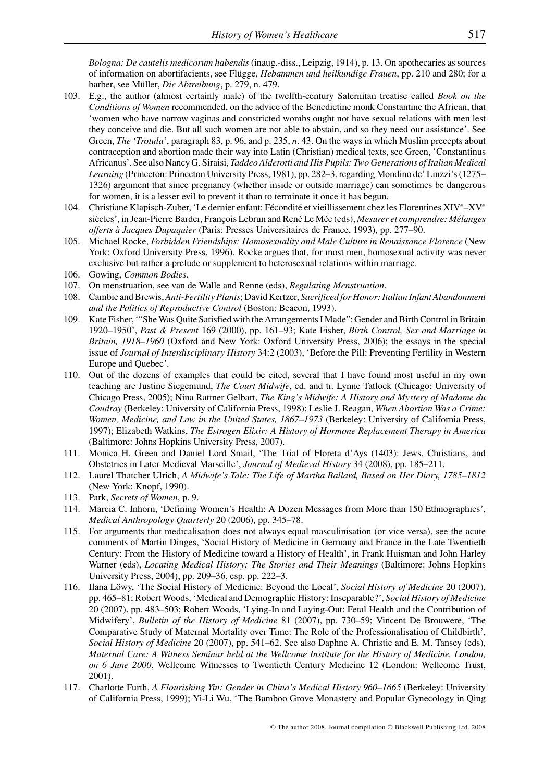*Bologna: De cautelis medicorum habendis* (inaug.-diss., Leipzig, 1914), p. 13. On apothecaries as sources of information on abortifacients, see Flügge, *Hebammen und heilkundige Frauen*, pp. 210 and 280; for a barber, see Müller, *Die Abtreibung*, p. 279, n. 479.

- 103. E.g., the author (almost certainly male) of the twelfth-century Salernitan treatise called *Book on the Conditions of Women* recommended, on the advice of the Benedictine monk Constantine the African, that 'women who have narrow vaginas and constricted wombs ought not have sexual relations with men lest they conceive and die. But all such women are not able to abstain, and so they need our assistance'. See Green, *The 'Trotula'*, paragraph 83, p. 96, and p. 235, *n*. 43. On the ways in which Muslim precepts about contraception and abortion made their way into Latin (Christian) medical texts, see Green, 'Constantinus Africanus'. See also Nancy G. Siraisi, *Taddeo Alderotti and His Pupils: Two Generations of Italian Medical Learning* (Princeton: Princeton University Press, 1981), pp. 282–3, regarding Mondino de' Liuzzi's (1275– 1326) argument that since pregnancy (whether inside or outside marriage) can sometimes be dangerous for women, it is a lesser evil to prevent it than to terminate it once it has begun.
- 104. Christiane Klapisch-Zuber, 'Le dernier enfant: Fécondité et vieillissement chez les Florentines XIV<sup>e</sup>–XV<sup>e</sup> siècles', in Jean-Pierre Barder, François Lebrun and René Le Mée (eds), *Mesurer et comprendre: Mélanges offerts a Jacques Dupaquier `* (Paris: Presses Universitaires de France, 1993), pp. 277–90.
- 105. Michael Rocke, *Forbidden Friendships: Homosexuality and Male Culture in Renaissance Florence* (New York: Oxford University Press, 1996). Rocke argues that, for most men, homosexual activity was never exclusive but rather a prelude or supplement to heterosexual relations within marriage.
- 106. Gowing, *Common Bodies*.
- 107. On menstruation, see van de Walle and Renne (eds), *Regulating Menstruation*.
- 108. Cambie and Brewis,*Anti-Fertility Plants*; David Kertzer, *Sacrificed for Honor: Italian Infant Abandonment and the Politics of Reproductive Control* (Boston: Beacon, 1993).
- 109. Kate Fisher, '"She Was Quite Satisfied with the Arrangements I Made": Gender and Birth Control in Britain 1920–1950', *Past & Present* 169 (2000), pp. 161–93; Kate Fisher, *Birth Control, Sex and Marriage in Britain, 1918–1960* (Oxford and New York: Oxford University Press, 2006); the essays in the special issue of *Journal of Interdisciplinary History* 34:2 (2003), 'Before the Pill: Preventing Fertility in Western Europe and Quebec'.
- 110. Out of the dozens of examples that could be cited, several that I have found most useful in my own teaching are Justine Siegemund, *The Court Midwife*, ed. and tr. Lynne Tatlock (Chicago: University of Chicago Press, 2005); Nina Rattner Gelbart, *The King's Midwife: A History and Mystery of Madame du Coudray* (Berkeley: University of California Press, 1998); Leslie J. Reagan, *When Abortion Was a Crime: Women, Medicine, and Law in the United States, 1867–1973* (Berkeley: University of California Press, 1997); Elizabeth Watkins, *The Estrogen Elixir: A History of Hormone Replacement Therapy in America* (Baltimore: Johns Hopkins University Press, 2007).
- 111. Monica H. Green and Daniel Lord Smail, 'The Trial of Floreta d'Ays (1403): Jews, Christians, and Obstetrics in Later Medieval Marseille', *Journal of Medieval History* 34 (2008), pp. 185–211.
- 112. Laurel Thatcher Ulrich, *A Midwife's Tale: The Life of Martha Ballard, Based on Her Diary, 1785–1812* (New York: Knopf, 1990).
- 113. Park, *Secrets of Women*, p. 9.
- 114. Marcia C. Inhorn, 'Defining Women's Health: A Dozen Messages from More than 150 Ethnographies', *Medical Anthropology Quarterly* 20 (2006), pp. 345–78.
- 115. For arguments that medicalisation does not always equal masculinisation (or vice versa), see the acute comments of Martin Dinges, 'Social History of Medicine in Germany and France in the Late Twentieth Century: From the History of Medicine toward a History of Health', in Frank Huisman and John Harley Warner (eds), *Locating Medical History: The Stories and Their Meanings* (Baltimore: Johns Hopkins University Press, 2004), pp. 209–36, esp. pp. 222–3.
- 116. Ilana Löwy, 'The Social History of Medicine: Beyond the Local', *Social History of Medicine* 20 (2007), pp. 465–81; Robert Woods, 'Medical and Demographic History: Inseparable?', *Social History of Medicine* 20 (2007), pp. 483–503; Robert Woods, 'Lying-In and Laying-Out: Fetal Health and the Contribution of Midwifery', *Bulletin of the History of Medicine* 81 (2007), pp. 730–59; Vincent De Brouwere, 'The Comparative Study of Maternal Mortality over Time: The Role of the Professionalisation of Childbirth', *Social History of Medicine* 20 (2007), pp. 541–62. See also Daphne A. Christie and E. M. Tansey (eds), *Maternal Care: A Witness Seminar held at the Wellcome Institute for the History of Medicine, London, on 6 June 2000*, Wellcome Witnesses to Twentieth Century Medicine 12 (London: Wellcome Trust, 2001).
- 117. Charlotte Furth, *A Flourishing Yin: Gender in China's Medical History 960–1665* (Berkeley: University of California Press, 1999); Yi-Li Wu, 'The Bamboo Grove Monastery and Popular Gynecology in Qing